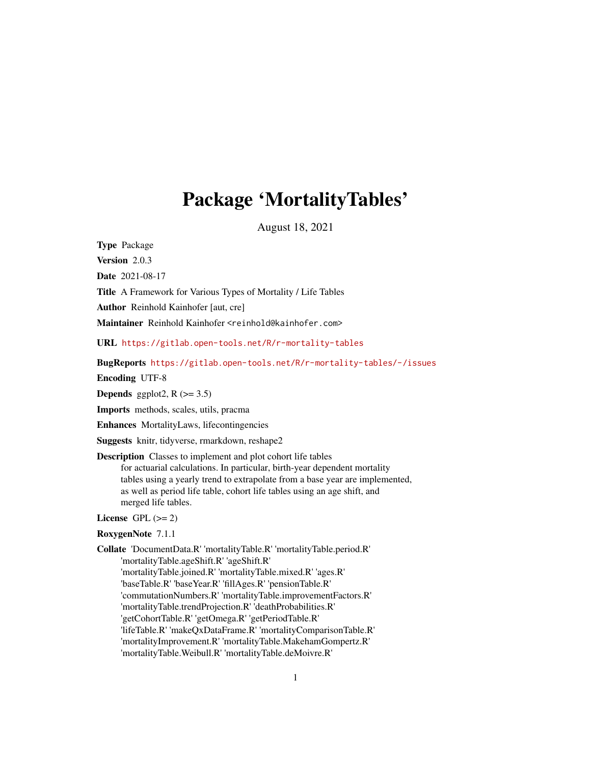# Package 'MortalityTables'

August 18, 2021

<span id="page-0-0"></span>Type Package

Version 2.0.3

Date 2021-08-17

Title A Framework for Various Types of Mortality / Life Tables

Author Reinhold Kainhofer [aut, cre]

Maintainer Reinhold Kainhofer <reinhold@kainhofer.com>

URL <https://gitlab.open-tools.net/R/r-mortality-tables>

BugReports <https://gitlab.open-tools.net/R/r-mortality-tables/-/issues>

Encoding UTF-8

**Depends** ggplot2,  $R$  ( $>= 3.5$ )

Imports methods, scales, utils, pracma

Enhances MortalityLaws, lifecontingencies

Suggests knitr, tidyverse, rmarkdown, reshape2

Description Classes to implement and plot cohort life tables for actuarial calculations. In particular, birth-year dependent mortality tables using a yearly trend to extrapolate from a base year are implemented, as well as period life table, cohort life tables using an age shift, and merged life tables.

License GPL  $(>= 2)$ 

#### RoxygenNote 7.1.1

Collate 'DocumentData.R' 'mortalityTable.R' 'mortalityTable.period.R' 'mortalityTable.ageShift.R' 'ageShift.R' 'mortalityTable.joined.R' 'mortalityTable.mixed.R' 'ages.R' 'baseTable.R' 'baseYear.R' 'fillAges.R' 'pensionTable.R' 'commutationNumbers.R' 'mortalityTable.improvementFactors.R' 'mortalityTable.trendProjection.R' 'deathProbabilities.R' 'getCohortTable.R' 'getOmega.R' 'getPeriodTable.R' 'lifeTable.R' 'makeQxDataFrame.R' 'mortalityComparisonTable.R' 'mortalityImprovement.R' 'mortalityTable.MakehamGompertz.R' 'mortalityTable.Weibull.R' 'mortalityTable.deMoivre.R'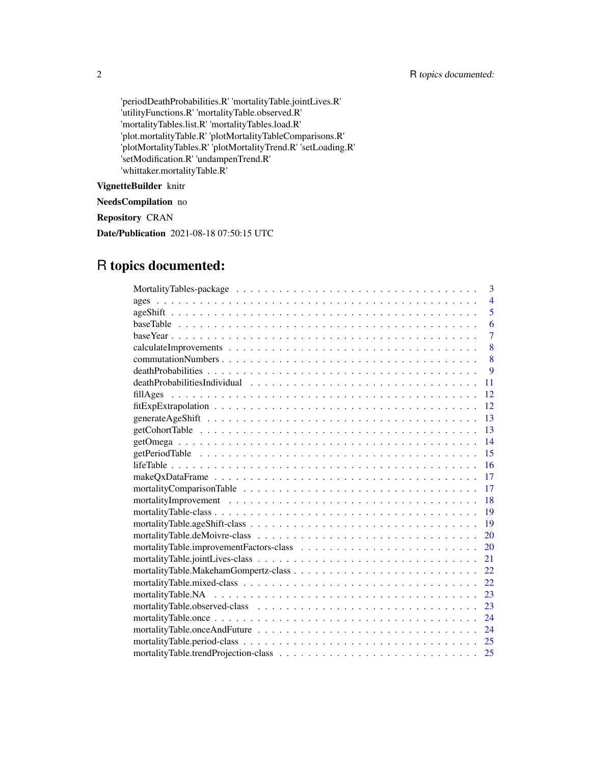'periodDeathProbabilities.R' 'mortalityTable.jointLives.R' 'utilityFunctions.R' 'mortalityTable.observed.R' 'mortalityTables.list.R' 'mortalityTables.load.R' 'plot.mortalityTable.R' 'plotMortalityTableComparisons.R' 'plotMortalityTables.R' 'plotMortalityTrend.R' 'setLoading.R' 'setModification.R' 'undampenTrend.R' 'whittaker.mortalityTable.R'

# VignetteBuilder knitr

NeedsCompilation no

Repository CRAN

Date/Publication 2021-08-18 07:50:15 UTC

# R topics documented:

| $\mathbf{3}$   |
|----------------|
| $\overline{4}$ |
| 5              |
| 6              |
| $\overline{7}$ |
| 8              |
| 8              |
| 9              |
| 11             |
| 12             |
| 12             |
| 13             |
| 13             |
| 14             |
| 15             |
| <b>16</b>      |
| 17             |
| 17             |
| 18             |
| 19             |
| <b>19</b>      |
| 20             |
| 20             |
| 21             |
| 22             |
| 22             |
| 23             |
| 23             |
| 24             |
| 24             |
| 25             |
| 25             |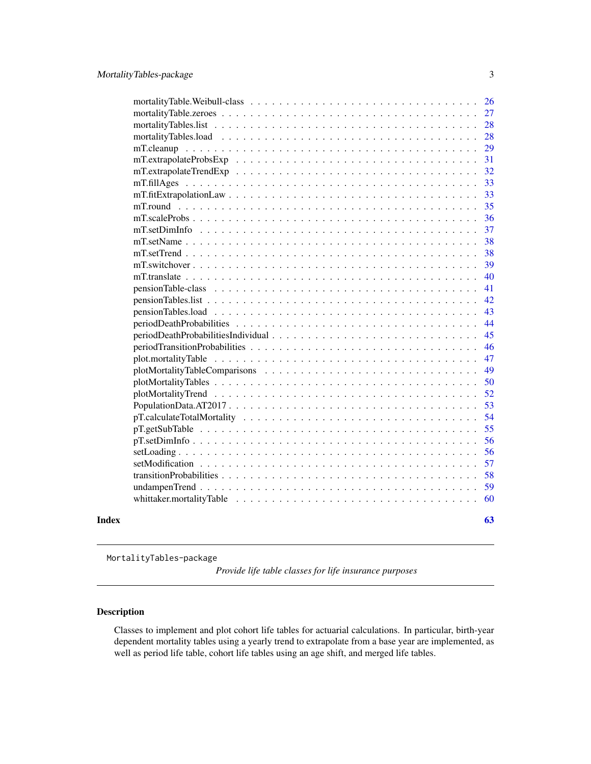<span id="page-2-0"></span>

|       | 26 |
|-------|----|
|       | 27 |
|       | 28 |
|       | 28 |
|       | 29 |
|       | 31 |
|       | 32 |
|       | 33 |
|       | 33 |
|       | 35 |
|       | 36 |
|       | 37 |
|       | 38 |
|       | 38 |
|       | 39 |
|       | 40 |
|       | 41 |
|       | 42 |
|       | 43 |
|       | 44 |
|       | 45 |
|       | 46 |
|       | 47 |
|       | 49 |
|       | 50 |
|       | 52 |
|       | 53 |
|       | 54 |
|       | 55 |
|       | 56 |
|       | 56 |
|       | 57 |
|       | 58 |
|       | 59 |
|       | 60 |
| Index | 63 |
|       |    |

<span id="page-2-1"></span>MortalityTables-package

*Provide life table classes for life insurance purposes*

# <span id="page-2-2"></span>Description

Classes to implement and plot cohort life tables for actuarial calculations. In particular, birth-year dependent mortality tables using a yearly trend to extrapolate from a base year are implemented, as well as period life table, cohort life tables using an age shift, and merged life tables.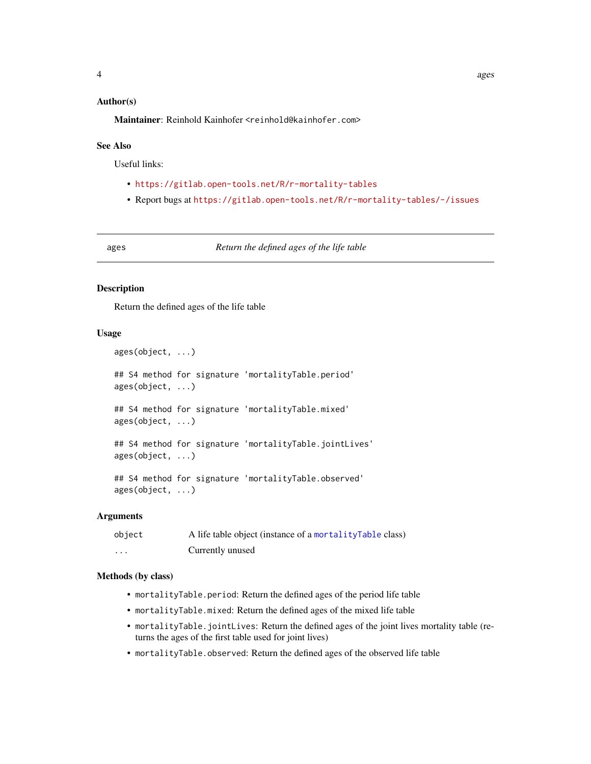# <span id="page-3-0"></span>Author(s)

Maintainer: Reinhold Kainhofer <reinhold@kainhofer.com>

# See Also

Useful links:

- <https://gitlab.open-tools.net/R/r-mortality-tables>
- Report bugs at <https://gitlab.open-tools.net/R/r-mortality-tables/-/issues>

ages *Return the defined ages of the life table*

#### Description

Return the defined ages of the life table

# Usage

```
ages(object, ...)
## S4 method for signature 'mortalityTable.period'
ages(object, ...)
## S4 method for signature 'mortalityTable.mixed'
ages(object, ...)
## S4 method for signature 'mortalityTable.jointLives'
ages(object, ...)
## S4 method for signature 'mortalityTable.observed'
ages(object, ...)
```
#### Arguments

| object | A life table object (instance of a mortality Table class) |
|--------|-----------------------------------------------------------|
| .      | Currently unused                                          |

# Methods (by class)

- mortalityTable.period: Return the defined ages of the period life table
- mortalityTable.mixed: Return the defined ages of the mixed life table
- mortalityTable.jointLives: Return the defined ages of the joint lives mortality table (returns the ages of the first table used for joint lives)
- mortalityTable.observed: Return the defined ages of the observed life table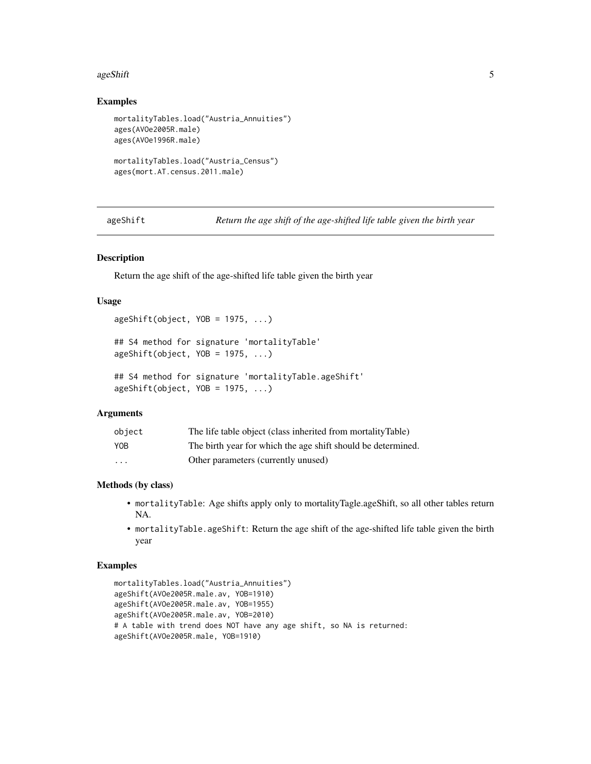#### <span id="page-4-0"></span>ageShift 5

# Examples

```
mortalityTables.load("Austria_Annuities")
ages(AVOe2005R.male)
ages(AVOe1996R.male)
mortalityTables.load("Austria_Census")
```

```
ages(mort.AT.census.2011.male)
```
ageShift *Return the age shift of the age-shifted life table given the birth year*

# Description

Return the age shift of the age-shifted life table given the birth year

# Usage

```
ageShift(object, YOB = 1975, ...)
```

```
## S4 method for signature 'mortalityTable'
ageShift(object, YOB = 1975, ...)
```

```
## S4 method for signature 'mortalityTable.ageShift'
ageShift(object, YOB = 1975, ...)
```
# Arguments

| object     | The life table object (class inherited from mortalityTable)  |
|------------|--------------------------------------------------------------|
| <b>YOB</b> | The birth year for which the age shift should be determined. |
| .          | Other parameters (currently unused)                          |

#### Methods (by class)

- mortalityTable: Age shifts apply only to mortalityTagle.ageShift, so all other tables return NA.
- mortalityTable.ageShift: Return the age shift of the age-shifted life table given the birth year

```
mortalityTables.load("Austria_Annuities")
ageShift(AVOe2005R.male.av, YOB=1910)
ageShift(AVOe2005R.male.av, YOB=1955)
ageShift(AVOe2005R.male.av, YOB=2010)
# A table with trend does NOT have any age shift, so NA is returned:
ageShift(AVOe2005R.male, YOB=1910)
```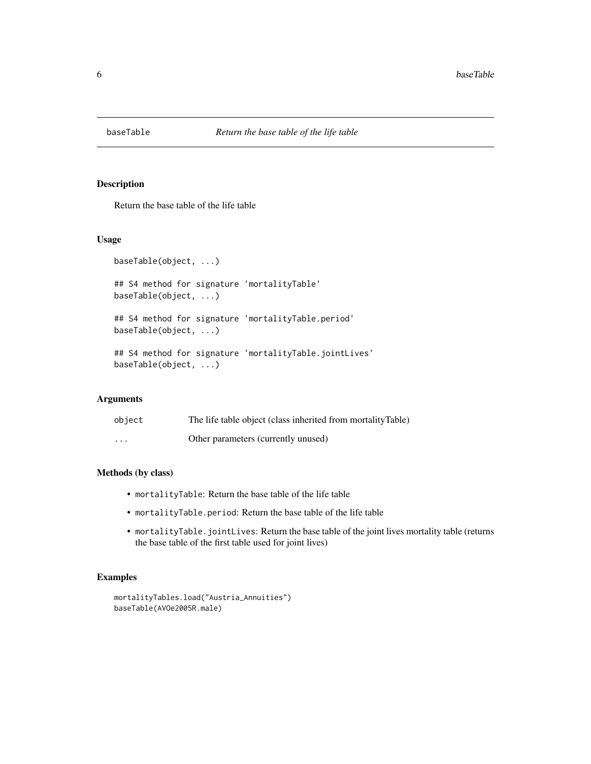<span id="page-5-0"></span>

# Description

Return the base table of the life table

# Usage

```
baseTable(object, ...)
## S4 method for signature 'mortalityTable'
baseTable(object, ...)
## S4 method for signature 'mortalityTable.period'
baseTable(object, ...)
## S4 method for signature 'mortalityTable.jointLives'
baseTable(object, ...)
```
# Arguments

| object   | The life table object (class inherited from mortalityTable) |
|----------|-------------------------------------------------------------|
| $\cdots$ | Other parameters (currently unused)                         |

# Methods (by class)

- mortalityTable: Return the base table of the life table
- mortalityTable.period: Return the base table of the life table
- mortalityTable.jointLives: Return the base table of the joint lives mortality table (returns the base table of the first table used for joint lives)

```
mortalityTables.load("Austria_Annuities")
baseTable(AVOe2005R.male)
```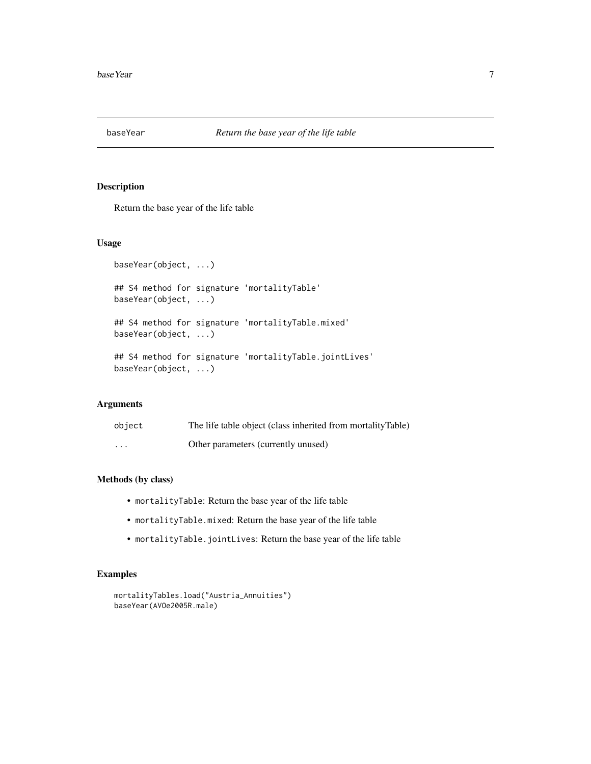<span id="page-6-0"></span>

# Description

Return the base year of the life table

# Usage

```
baseYear(object, ...)
## S4 method for signature 'mortalityTable'
baseYear(object, ...)
## S4 method for signature 'mortalityTable.mixed'
baseYear(object, ...)
## S4 method for signature 'mortalityTable.jointLives'
baseYear(object, ...)
```
# Arguments

| object  | The life table object (class inherited from mortalityTable) |
|---------|-------------------------------------------------------------|
| $\cdot$ | Other parameters (currently unused)                         |

# Methods (by class)

- mortalityTable: Return the base year of the life table
- mortalityTable.mixed: Return the base year of the life table
- mortalityTable.jointLives: Return the base year of the life table

```
mortalityTables.load("Austria_Annuities")
baseYear(AVOe2005R.male)
```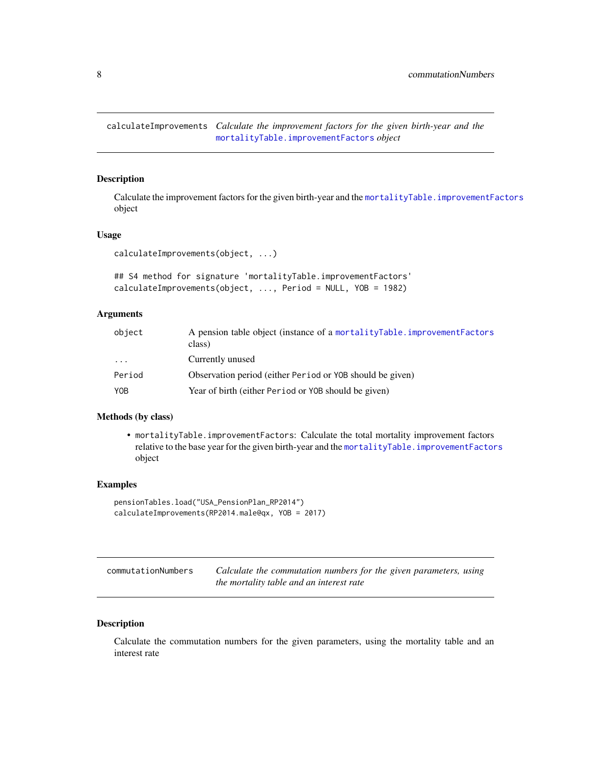<span id="page-7-0"></span>calculateImprovements *Calculate the improvement factors for the given birth-year and the* [mortalityTable.improvementFactors](#page-19-1) *object*

#### Description

Calculate the improvement factors for the given birth-year and the [mortalityTable.improvementFactors](#page-19-1) object

# Usage

```
calculateImprovements(object, ...)
```

```
## S4 method for signature 'mortalityTable.improvementFactors'
calculateImprovements(object, ..., Period = NULL, YOB = 1982)
```
# Arguments

| object                  | A pension table object (instance of a mortalityTable.improvementFactors<br>class) |
|-------------------------|-----------------------------------------------------------------------------------|
| $\cdot$ $\cdot$ $\cdot$ | Currently unused                                                                  |
| Period                  | Observation period (either Period or YOB should be given)                         |
| YOB                     | Year of birth (either Period or YOB should be given)                              |

# Methods (by class)

• mortalityTable.improvementFactors: Calculate the total mortality improvement factors relative to the base year for the given birth-year and the [mortalityTable.improvementFactors](#page-19-1) object

# Examples

```
pensionTables.load("USA_PensionPlan_RP2014")
calculateImprovements(RP2014.male@qx, YOB = 2017)
```

| commutationNumbers | Calculate the commutation numbers for the given parameters, using |
|--------------------|-------------------------------------------------------------------|
|                    | the mortality table and an interest rate                          |

#### Description

Calculate the commutation numbers for the given parameters, using the mortality table and an interest rate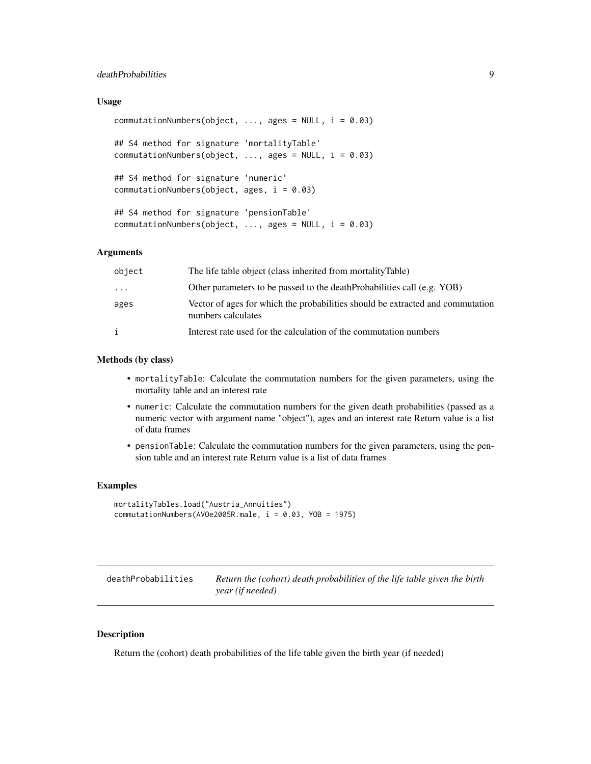# <span id="page-8-0"></span>deathProbabilities 9

# Usage

```
commutationNumbers(object, ..., ages = NULL, i = 0.03)
## S4 method for signature 'mortalityTable'
commutationNumbers(object, ..., ages = NULL, i = 0.03)
## S4 method for signature 'numeric'
commutationNumbers(object, ages, i = 0.03)
## S4 method for signature 'pensionTable'
commutationNumbers(object, \ldots, ages = NULL, i = 0.03)
```
# Arguments

| object   | The life table object (class inherited from mortalityTable)                                          |
|----------|------------------------------------------------------------------------------------------------------|
| $\cdots$ | Other parameters to be passed to the deathProbabilities call (e.g. YOB)                              |
| ages     | Vector of ages for which the probabilities should be extracted and commutation<br>numbers calculates |
| i        | Interest rate used for the calculation of the commutation numbers                                    |

# Methods (by class)

- mortalityTable: Calculate the commutation numbers for the given parameters, using the mortality table and an interest rate
- numeric: Calculate the commutation numbers for the given death probabilities (passed as a numeric vector with argument name "object"), ages and an interest rate Return value is a list of data frames
- pensionTable: Calculate the commutation numbers for the given parameters, using the pension table and an interest rate Return value is a list of data frames

#### Examples

```
mortalityTables.load("Austria_Annuities")
commutationNumbers(AVOe2005R.male, i = 0.03, YOB = 1975)
```

| deathProbabilities | Return the (cohort) death probabilities of the life table given the birth |
|--------------------|---------------------------------------------------------------------------|
|                    | year (if needed)                                                          |

#### Description

Return the (cohort) death probabilities of the life table given the birth year (if needed)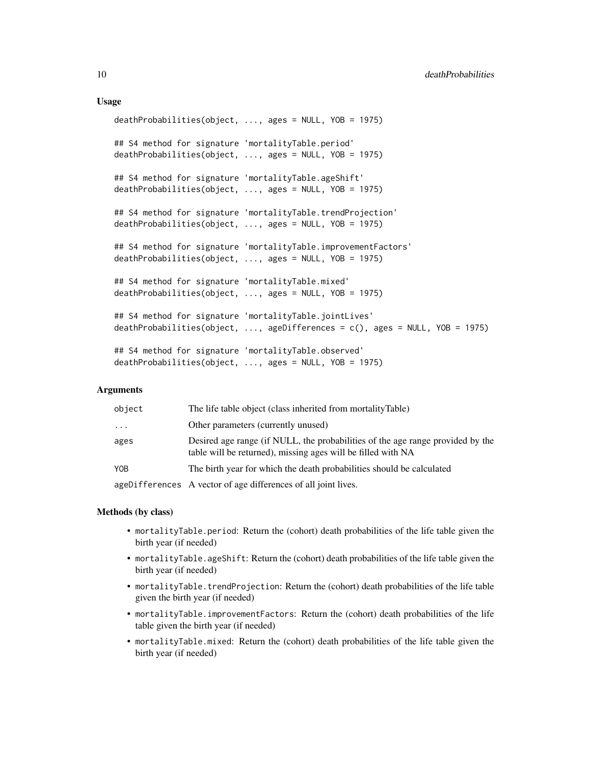# Usage

```
deathProbabilities(object, ..., ages = NULL, YOB = 1975)
## S4 method for signature 'mortalityTable.period'
deathProbabilities(object, ..., ages = NULL, YOB = 1975)
## S4 method for signature 'mortalityTable.ageShift'
deathProbabilities(object, ..., ages = NULL, YOB = 1975)
## S4 method for signature 'mortalityTable.trendProjection'
deathProbabilities(object, ..., ages = NULL, YOB = 1975)
## S4 method for signature 'mortalityTable.improvementFactors'
deathProbabilities(object, ..., ages = NULL, YOB = 1975)
## S4 method for signature 'mortalityTable.mixed'
deathProbabilities(object, ..., ages = NULL, YOB = 1975)
## S4 method for signature 'mortalityTable.jointLives'
deathProbabilities(object, ..., ageDifferences = c(), ages = NULL, YOB = 1975)
## S4 method for signature 'mortalityTable.observed'
deathProbabilities(object, ..., ages = NULL, YOB = 1975)
```
# Arguments

| object     | The life table object (class inherited from mortalityTable)                                                                                    |
|------------|------------------------------------------------------------------------------------------------------------------------------------------------|
| $\cdot$    | Other parameters (currently unused)                                                                                                            |
| ages       | Desired age range (if NULL, the probabilities of the age range provided by the<br>table will be returned), missing ages will be filled with NA |
| <b>YOB</b> | The birth year for which the death probabilities should be calculated                                                                          |
|            | ageDifferences A vector of age differences of all joint lives.                                                                                 |

#### Methods (by class)

- mortalityTable.period: Return the (cohort) death probabilities of the life table given the birth year (if needed)
- mortalityTable.ageShift: Return the (cohort) death probabilities of the life table given the birth year (if needed)
- mortalityTable.trendProjection: Return the (cohort) death probabilities of the life table given the birth year (if needed)
- mortalityTable.improvementFactors: Return the (cohort) death probabilities of the life table given the birth year (if needed)
- mortalityTable.mixed: Return the (cohort) death probabilities of the life table given the birth year (if needed)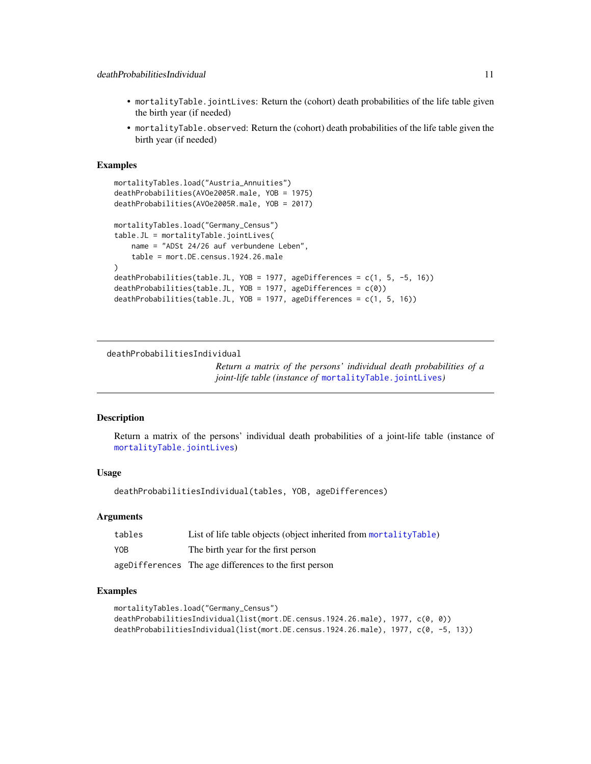- <span id="page-10-0"></span>• mortalityTable.jointLives: Return the (cohort) death probabilities of the life table given the birth year (if needed)
- mortalityTable.observed: Return the (cohort) death probabilities of the life table given the birth year (if needed)

# Examples

```
mortalityTables.load("Austria_Annuities")
deathProbabilities(AVOe2005R.male, YOB = 1975)
deathProbabilities(AVOe2005R.male, YOB = 2017)
mortalityTables.load("Germany_Census")
table.JL = mortalityTable.jointLives(
   name = "ADSt 24/26 auf verbundene Leben",
   table = mort.DE.census.1924.26.male
\lambdadeathProbabilities(table.JL, YOB = 1977, ageDifferences = c(1, 5, -5, 16))
deathProbabilities(table.JL, YOB = 1977, ageDifferences = c(0))
deathProbabilities(table.JL, YOB = 1977, ageDifferences = c(1, 5, 16))
```
deathProbabilitiesIndividual

*Return a matrix of the persons' individual death probabilities of a joint-life table (instance of* [mortalityTable.jointLives](#page-20-1)*)*

#### Description

Return a matrix of the persons' individual death probabilities of a joint-life table (instance of [mortalityTable.jointLives](#page-20-1))

# Usage

deathProbabilitiesIndividual(tables, YOB, ageDifferences)

#### Arguments

| tables     | List of life table objects (object inherited from mortalityTable) |
|------------|-------------------------------------------------------------------|
| <b>YOB</b> | The birth year for the first person                               |
|            | ageDifferences The age differences to the first person            |

```
mortalityTables.load("Germany_Census")
deathProbabilitiesIndividual(list(mort.DE.census.1924.26.male), 1977, c(0, 0))
deathProbabilitiesIndividual(list(mort.DE.census.1924.26.male), 1977, c(0, -5, 13))
```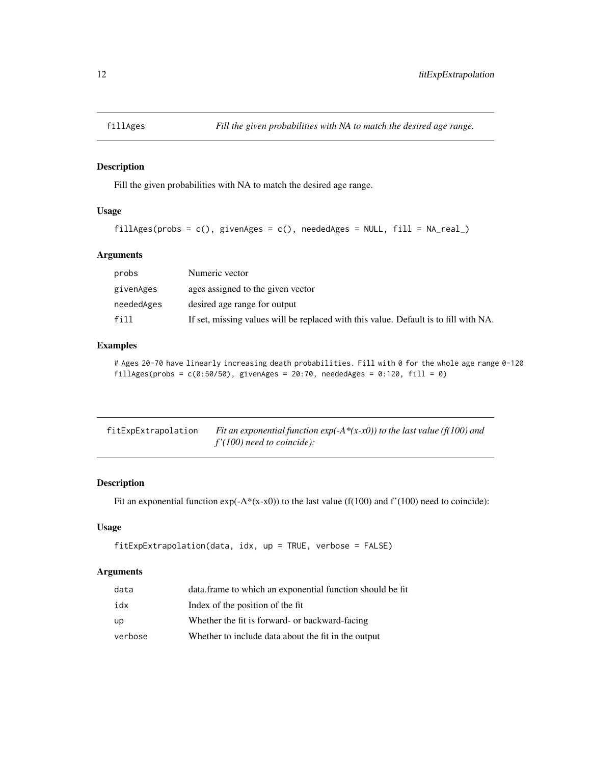<span id="page-11-0"></span>

# Description

Fill the given probabilities with NA to match the desired age range.

# Usage

```
fillAges(probs = c(), givenAges = c(), neededAges = NULL, fill = NA_real_)
```
# Arguments

| probs      | Numeric vector                                                                       |
|------------|--------------------------------------------------------------------------------------|
| givenAges  | ages assigned to the given vector                                                    |
| neededAges | desired age range for output                                                         |
| f11        | If set, missing values will be replaced with this value. Default is to fill with NA. |

# Examples

# Ages 20-70 have linearly increasing death probabilities. Fill with 0 for the whole age range 0-120 fillAges(probs =  $c(0:50/50)$ , givenAges =  $20:70$ , neededAges =  $0:120$ , fill = 0)

| fitExpExtrapolation | Fit an exponential function $exp(-A*(x-x0))$ to the last value (f(100) and |
|---------------------|----------------------------------------------------------------------------|
|                     | $f'(100)$ need to coincide):                                               |

# Description

Fit an exponential function  $exp(-A*(x-x0))$  to the last value (f(100) and f'(100) need to coincide):

#### Usage

```
fitExpExtrapolation(data, idx, up = TRUE, verbose = FALSE)
```

| data    | data. frame to which an exponential function should be fit |
|---------|------------------------------------------------------------|
| idx     | Index of the position of the fit                           |
| up      | Whether the fit is forward- or backward-facing             |
| verbose | Whether to include data about the fit in the output        |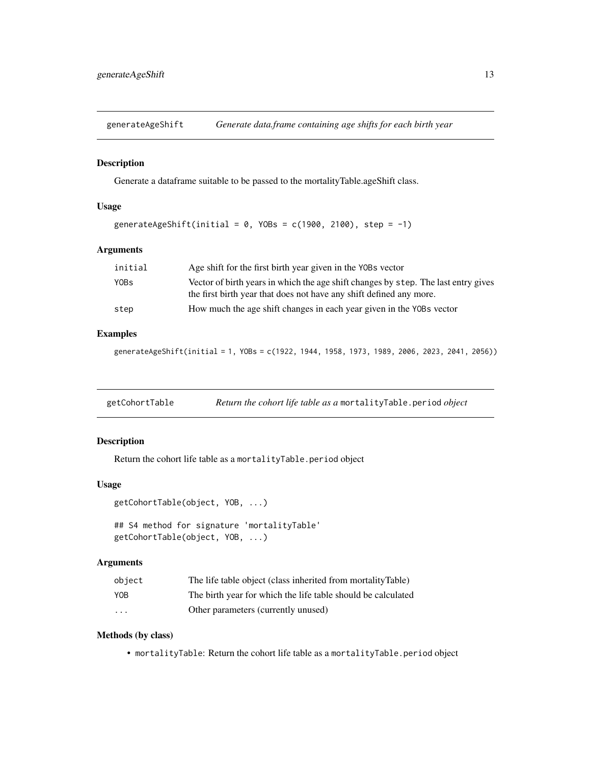<span id="page-12-0"></span>generateAgeShift *Generate data.frame containing age shifts for each birth year*

#### Description

Generate a dataframe suitable to be passed to the mortalityTable.ageShift class.

# Usage

```
generateAgeShift(initial = 0, YOBs = c(1900, 2100), step = -1)
```
# Arguments

| initial | Age shift for the first birth year given in the YOBs vector                                                                                               |
|---------|-----------------------------------------------------------------------------------------------------------------------------------------------------------|
| Y0Bs    | Vector of birth years in which the age shift changes by step. The last entry gives<br>the first birth year that does not have any shift defined any more. |
| step    | How much the age shift changes in each year given in the YOBs vector                                                                                      |

# Examples

generateAgeShift(initial = 1, YOBs = c(1922, 1944, 1958, 1973, 1989, 2006, 2023, 2041, 2056))

getCohortTable *Return the cohort life table as a* mortalityTable.period *object*

# Description

Return the cohort life table as a mortalityTable.period object

#### Usage

```
getCohortTable(object, YOB, ...)
```

```
## S4 method for signature 'mortalityTable'
getCohortTable(object, YOB, ...)
```
# Arguments

| obiect     | The life table object (class inherited from mortalityTable)  |
|------------|--------------------------------------------------------------|
| <b>YOB</b> | The birth year for which the life table should be calculated |
| .          | Other parameters (currently unused)                          |

# Methods (by class)

• mortalityTable: Return the cohort life table as a mortalityTable.period object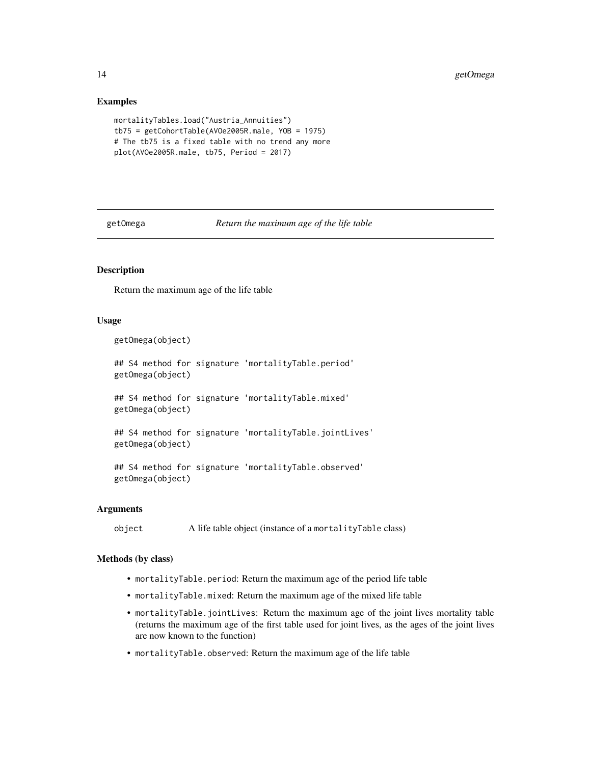<span id="page-13-0"></span>14 getOmega

# Examples

```
mortalityTables.load("Austria_Annuities")
tb75 = getCohortTable(AVOe2005R.male, YOB = 1975)
# The tb75 is a fixed table with no trend any more
plot(AVOe2005R.male, tb75, Period = 2017)
```
getOmega *Return the maximum age of the life table*

# Description

Return the maximum age of the life table

# Usage

```
getOmega(object)
```

```
## S4 method for signature 'mortalityTable.period'
getOmega(object)
```
## S4 method for signature 'mortalityTable.mixed' getOmega(object)

```
## S4 method for signature 'mortalityTable.jointLives'
getOmega(object)
```

```
## S4 method for signature 'mortalityTable.observed'
getOmega(object)
```
# Arguments

object A life table object (instance of a mortalityTable class)

#### Methods (by class)

- mortalityTable.period: Return the maximum age of the period life table
- mortalityTable.mixed: Return the maximum age of the mixed life table
- mortalityTable.jointLives: Return the maximum age of the joint lives mortality table (returns the maximum age of the first table used for joint lives, as the ages of the joint lives are now known to the function)
- mortalityTable.observed: Return the maximum age of the life table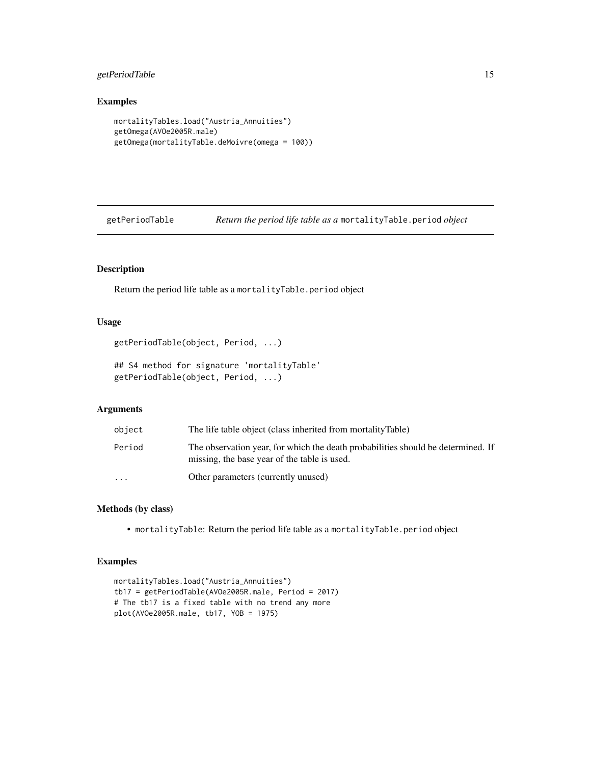# <span id="page-14-0"></span>getPeriodTable 15

# Examples

```
mortalityTables.load("Austria_Annuities")
getOmega(AVOe2005R.male)
getOmega(mortalityTable.deMoivre(omega = 100))
```
getPeriodTable *Return the period life table as a* mortalityTable.period *object*

# Description

Return the period life table as a mortalityTable.period object

# Usage

```
getPeriodTable(object, Period, ...)
```
## S4 method for signature 'mortalityTable' getPeriodTable(object, Period, ...)

# Arguments

| object                  | The life table object (class inherited from mortalityTable)                                                                      |
|-------------------------|----------------------------------------------------------------------------------------------------------------------------------|
| Period                  | The observation year, for which the death probabilities should be determined. If<br>missing, the base year of the table is used. |
| $\cdot$ $\cdot$ $\cdot$ | Other parameters (currently unused)                                                                                              |

# Methods (by class)

• mortalityTable: Return the period life table as a mortalityTable.period object

```
mortalityTables.load("Austria_Annuities")
tb17 = getPeriodTable(AVOe2005R.male, Period = 2017)
# The tb17 is a fixed table with no trend any more
plot(AVOe2005R.male, tb17, YOB = 1975)
```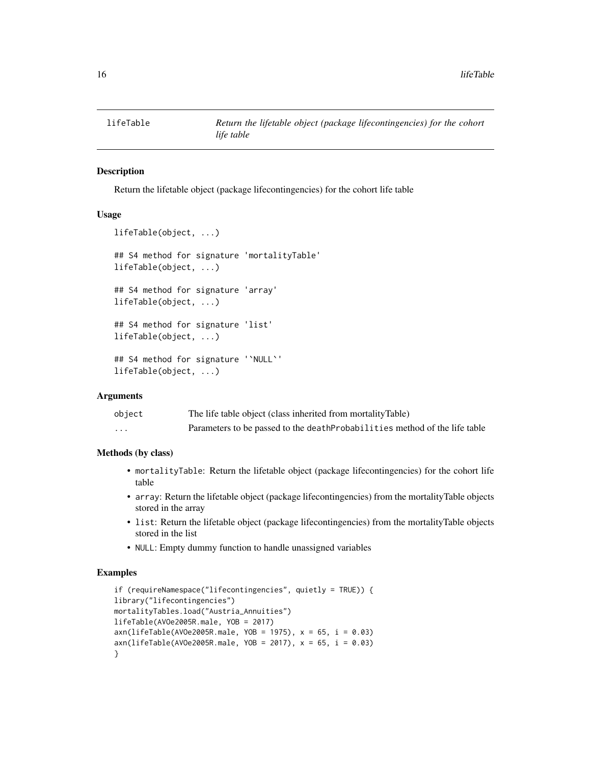<span id="page-15-0"></span>

# Description

Return the lifetable object (package lifecontingencies) for the cohort life table

# Usage

```
lifeTable(object, ...)
## S4 method for signature 'mortalityTable'
lifeTable(object, ...)
## S4 method for signature 'array'
lifeTable(object, ...)
## S4 method for signature 'list'
lifeTable(object, ...)
## S4 method for signature '`NULL`'
lifeTable(object, ...)
```
#### Arguments

| object   | The life table object (class inherited from mortalityTable)                 |
|----------|-----------------------------------------------------------------------------|
| $\cdots$ | Parameters to be passed to the death Probabilities method of the life table |

# Methods (by class)

- mortalityTable: Return the lifetable object (package lifecontingencies) for the cohort life table
- array: Return the lifetable object (package lifecontingencies) from the mortalityTable objects stored in the array
- list: Return the lifetable object (package lifecontingencies) from the mortalityTable objects stored in the list
- NULL: Empty dummy function to handle unassigned variables

```
if (requireNamespace("lifecontingencies", quietly = TRUE)) {
library("lifecontingencies")
mortalityTables.load("Austria_Annuities")
lifeTable(AVOe2005R.male, YOB = 2017)
axn(lifeTable(AV0e2005R.make, YOB = 1975), x = 65, i = 0.03)axn(liferable(AV0e2005R.make, YOB = 2017), x = 65, i = 0.03)}
```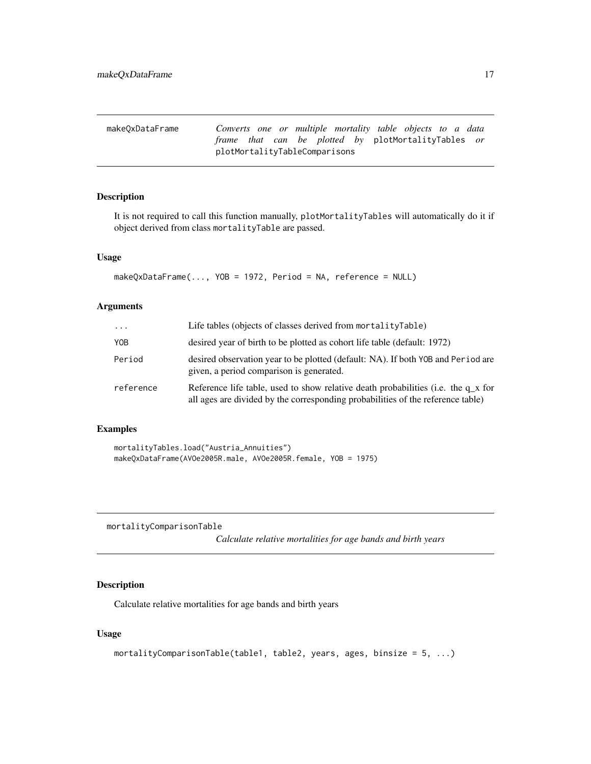<span id="page-16-0"></span>

| makeOxDataFrame |                               |  |  |  | Converts one or multiple mortality table objects to a data |  |  |
|-----------------|-------------------------------|--|--|--|------------------------------------------------------------|--|--|
|                 |                               |  |  |  | <i>frame that can be plotted by plotMortalityTables or</i> |  |  |
|                 | plotMortalityTableComparisons |  |  |  |                                                            |  |  |

# Description

It is not required to call this function manually, plotMortalityTables will automatically do it if object derived from class mortalityTable are passed.

#### Usage

```
makeQxDataFrame(..., YOB = 1972, Period = NA, reference = NULL)
```
# Arguments

| $\cdot \cdot \cdot$ | Life tables (objects of classes derived from mortalityTable)                                                                                                           |
|---------------------|------------------------------------------------------------------------------------------------------------------------------------------------------------------------|
| YOB                 | desired year of birth to be plotted as cohort life table (default: 1972)                                                                                               |
| Period              | desired observation year to be plotted (default: NA). If both YOB and Period are<br>given, a period comparison is generated.                                           |
| reference           | Reference life table, used to show relative death probabilities (i.e. the $q_x$ for<br>all ages are divided by the corresponding probabilities of the reference table) |

# Examples

```
mortalityTables.load("Austria_Annuities")
makeQxDataFrame(AVOe2005R.male, AVOe2005R.female, YOB = 1975)
```
mortalityComparisonTable

*Calculate relative mortalities for age bands and birth years*

# Description

Calculate relative mortalities for age bands and birth years

# Usage

```
mortalityComparisonTable(table1, table2, years, ages, binsize = 5, ...)
```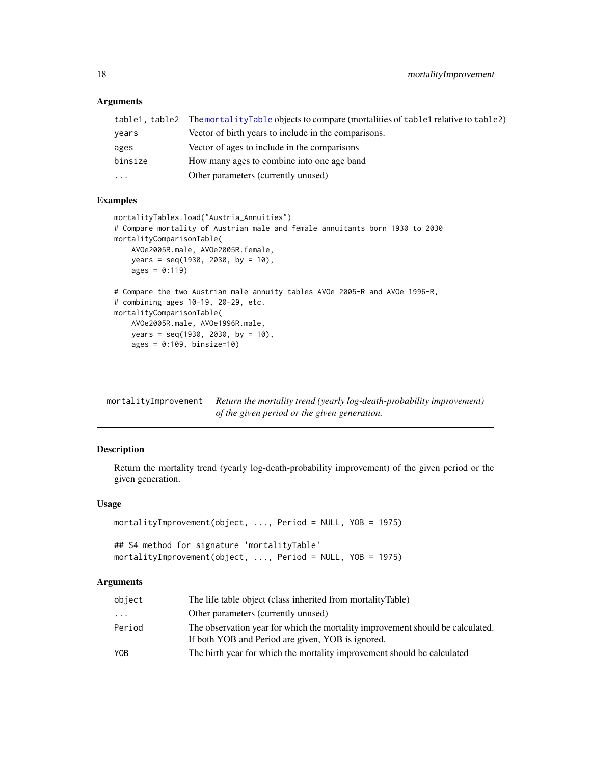# Arguments

|         | table1, table2 The mortalityTable objects to compare (mortalities of table1 relative to table2) |
|---------|-------------------------------------------------------------------------------------------------|
| vears   | Vector of birth years to include in the comparisons.                                            |
| ages    | Vector of ages to include in the comparisons                                                    |
| binsize | How many ages to combine into one age band                                                      |
| .       | Other parameters (currently unused)                                                             |
|         |                                                                                                 |

# Examples

```
mortalityTables.load("Austria_Annuities")
# Compare mortality of Austrian male and female annuitants born 1930 to 2030
mortalityComparisonTable(
    AVOe2005R.male, AVOe2005R.female,
   years = seq(1930, 2030, by = 10),
   ages = 0:119)
# Compare the two Austrian male annuity tables AVOe 2005-R and AVOe 1996-R,
# combining ages 10-19, 20-29, etc.
mortalityComparisonTable(
   AVOe2005R.male, AVOe1996R.male,
   years = seq(1930, 2030, by = 10),ages = 0:109, binsize=10)
```

| mortalityImprovement | Return the mortality trend (yearly log-death-probability improvement) |
|----------------------|-----------------------------------------------------------------------|
|                      | of the given period or the given generation.                          |

# Description

Return the mortality trend (yearly log-death-probability improvement) of the given period or the given generation.

#### Usage

```
mortalityImprovement(object, ..., Period = NULL, YOB = 1975)
```

```
## S4 method for signature 'mortalityTable'
mortalityImprovement(object, ..., Period = NULL, YOB = 1975)
```

| object     | The life table object (class inherited from mortalityTable)                                                                         |
|------------|-------------------------------------------------------------------------------------------------------------------------------------|
| .          | Other parameters (currently unused)                                                                                                 |
| Period     | The observation year for which the mortality improvement should be calculated.<br>If both YOB and Period are given, YOB is ignored. |
| <b>YOB</b> | The birth year for which the mortality improvement should be calculated                                                             |

<span id="page-17-0"></span>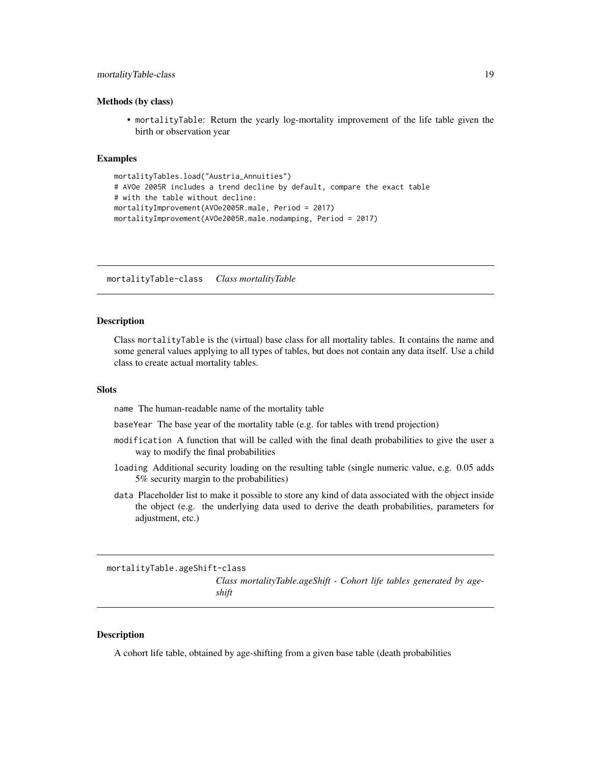# <span id="page-18-0"></span>mortalityTable-class 19

#### Methods (by class)

• mortalityTable: Return the yearly log-mortality improvement of the life table given the birth or observation year

# Examples

```
mortalityTables.load("Austria_Annuities")
# AVOe 2005R includes a trend decline by default, compare the exact table
# with the table without decline:
mortalityImprovement(AVOe2005R.male, Period = 2017)
mortalityImprovement(AVOe2005R.male.nodamping, Period = 2017)
```
<span id="page-18-1"></span>mortalityTable-class *Class mortalityTable*

#### <span id="page-18-2"></span>**Description**

Class mortalityTable is the (virtual) base class for all mortality tables. It contains the name and some general values applying to all types of tables, but does not contain any data itself. Use a child class to create actual mortality tables.

#### **Slots**

name The human-readable name of the mortality table

baseYear The base year of the mortality table (e.g. for tables with trend projection)

- modification A function that will be called with the final death probabilities to give the user a way to modify the final probabilities
- loading Additional security loading on the resulting table (single numeric value, e.g. 0.05 adds 5% security margin to the probabilities)
- data Placeholder list to make it possible to store any kind of data associated with the object inside the object (e.g. the underlying data used to derive the death probabilities, parameters for adjustment, etc.)

mortalityTable.ageShift-class

*Class mortalityTable.ageShift - Cohort life tables generated by ageshift*

#### Description

A cohort life table, obtained by age-shifting from a given base table (death probabilities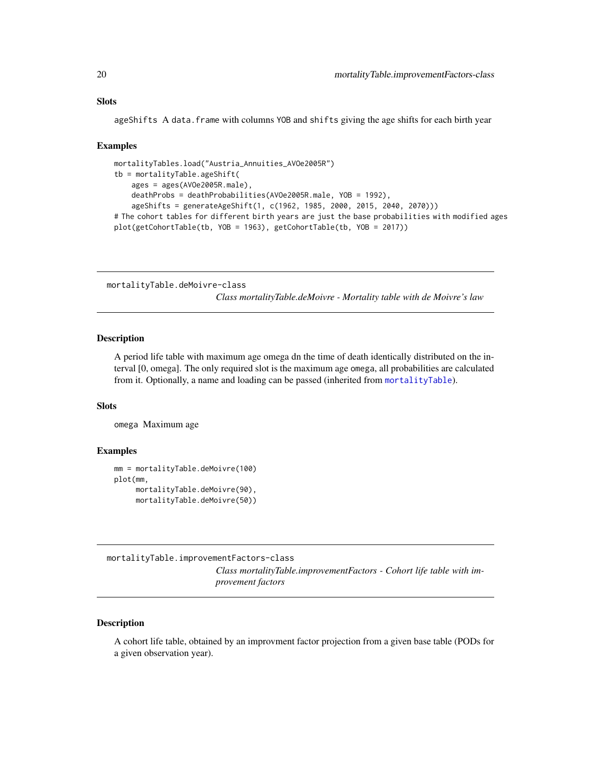<span id="page-19-0"></span>ageShifts A data.frame with columns YOB and shifts giving the age shifts for each birth year

#### Examples

```
mortalityTables.load("Austria_Annuities_AVOe2005R")
tb = mortalityTable.ageShift(
   ages = ages(AVOe2005R.male),
   deathProbs = deathProbabilities(AVOe2005R.male, YOB = 1992),
    ageShifts = generateAgeShift(1, c(1962, 1985, 2000, 2015, 2040, 2070)))
# The cohort tables for different birth years are just the base probabilities with modified ages
plot(getCohortTable(tb, YOB = 1963), getCohortTable(tb, YOB = 2017))
```
mortalityTable.deMoivre-class

*Class mortalityTable.deMoivre - Mortality table with de Moivre's law*

#### Description

A period life table with maximum age omega dn the time of death identically distributed on the interval [0, omega]. The only required slot is the maximum age omega, all probabilities are calculated from it. Optionally, a name and loading can be passed (inherited from [mortalityTable](#page-18-2)).

#### **Slots**

omega Maximum age

#### Examples

```
mm = mortalityTable.deMoivre(100)
plot(mm,
     mortalityTable.deMoivre(90),
     mortalityTable.deMoivre(50))
```
<span id="page-19-1"></span>mortalityTable.improvementFactors-class

*Class mortalityTable.improvementFactors - Cohort life table with improvement factors*

#### Description

A cohort life table, obtained by an improvment factor projection from a given base table (PODs for a given observation year).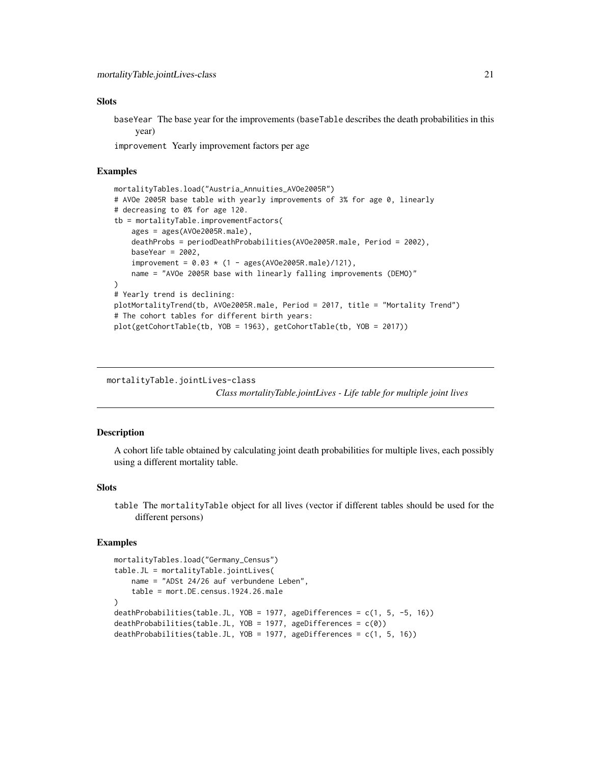#### <span id="page-20-0"></span>**Slots**

baseYear The base year for the improvements (baseTable describes the death probabilities in this year)

improvement Yearly improvement factors per age

# Examples

```
mortalityTables.load("Austria_Annuities_AVOe2005R")
# AVOe 2005R base table with yearly improvements of 3% for age 0, linearly
# decreasing to 0% for age 120.
tb = mortalityTable.improvementFactors(
    ages = ages(AVOe2005R.male),
    deathProbs = periodDeathProbabilities(AVOe2005R.male, Period = 2002),
   baseYear = 2002,
    improvement = 0.03 * (1 - ages(AV0e2005R.make)/121),
    name = "AVOe 2005R base with linearly falling improvements (DEMO)"
)
# Yearly trend is declining:
plotMortalityTrend(tb, AVOe2005R.male, Period = 2017, title = "Mortality Trend")
# The cohort tables for different birth years:
plot(getCohortTable(tb, YOB = 1963), getCohortTable(tb, YOB = 2017))
```
mortalityTable.jointLives-class

*Class mortalityTable.jointLives - Life table for multiple joint lives*

#### <span id="page-20-1"></span>**Description**

A cohort life table obtained by calculating joint death probabilities for multiple lives, each possibly using a different mortality table.

#### **Slots**

table The mortalityTable object for all lives (vector if different tables should be used for the different persons)

```
mortalityTables.load("Germany_Census")
table.JL = mortalityTable.jointLives(
   name = "ADSt 24/26 auf verbundene Leben",
   table = mort.DE.census.1924.26.male
)
deathProbabilities(table.JL, YOB = 1977, ageDifferences = c(1, 5, -5, 16))
deathProbabilities(table.JL, YOB = 1977, ageDifferences = c(0))
deathProbabilities(table.JL, YOB = 1977, ageDifferences = c(1, 5, 16))
```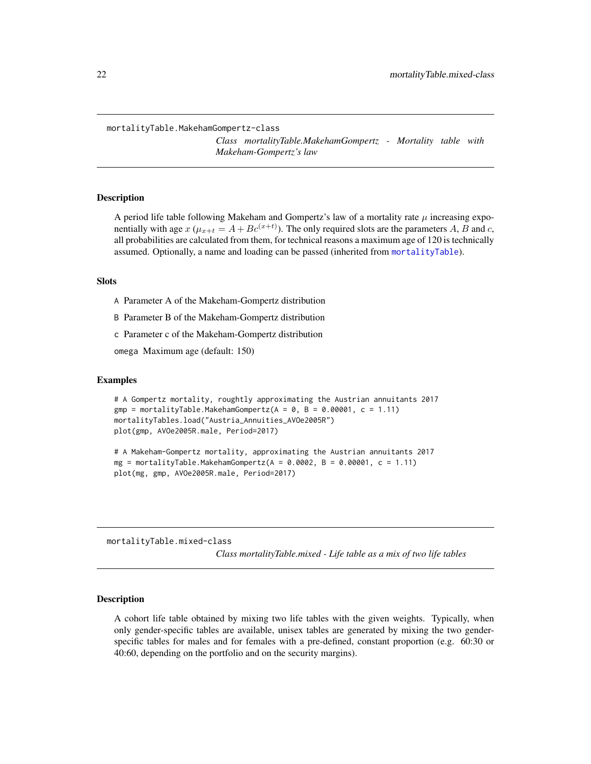<span id="page-21-0"></span>mortalityTable.MakehamGompertz-class

*Class mortalityTable.MakehamGompertz - Mortality table with Makeham-Gompertz's law*

#### Description

A period life table following Makeham and Gompertz's law of a mortality rate  $\mu$  increasing exponentially with age  $x$  ( $\mu_{x+t} = A + Bc^{(x+t)}$ ). The only required slots are the parameters A, B and c, all probabilities are calculated from them, for technical reasons a maximum age of 120 is technically assumed. Optionally, a name and loading can be passed (inherited from [mortalityTable](#page-18-2)).

# **Slots**

A Parameter A of the Makeham-Gompertz distribution

B Parameter B of the Makeham-Gompertz distribution

c Parameter c of the Makeham-Gompertz distribution

omega Maximum age (default: 150)

# Examples

```
# A Gompertz mortality, roughtly approximating the Austrian annuitants 2017
gmp = mortalityTable. MakehamGompertz(A = 0, B = 0.00001, c = 1.11)mortalityTables.load("Austria_Annuities_AVOe2005R")
plot(gmp, AVOe2005R.male, Period=2017)
```

```
# A Makeham-Gompertz mortality, approximating the Austrian annuitants 2017
mg = mortalityTable.MakehamGompertz(A = 0.0002, B = 0.00001, c = 1.11)
plot(mg, gmp, AVOe2005R.male, Period=2017)
```
mortalityTable.mixed-class

*Class mortalityTable.mixed - Life table as a mix of two life tables*

# **Description**

A cohort life table obtained by mixing two life tables with the given weights. Typically, when only gender-specific tables are available, unisex tables are generated by mixing the two genderspecific tables for males and for females with a pre-defined, constant proportion (e.g. 60:30 or 40:60, depending on the portfolio and on the security margins).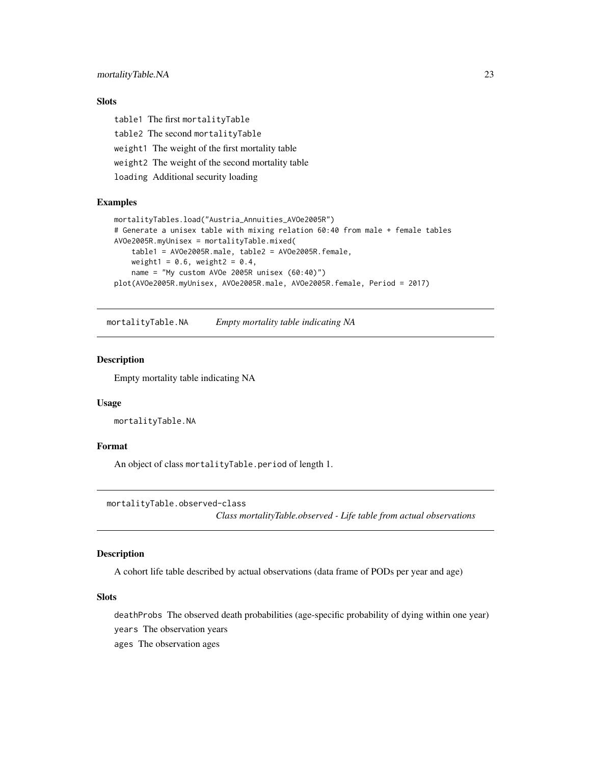# <span id="page-22-0"></span>Slots

table1 The first mortalityTable table2 The second mortalityTable weight1 The weight of the first mortality table weight2 The weight of the second mortality table loading Additional security loading

# Examples

```
mortalityTables.load("Austria_Annuities_AVOe2005R")
# Generate a unisex table with mixing relation 60:40 from male + female tables
AVOe2005R.myUnisex = mortalityTable.mixed(
   table1 = AVOe2005R.male, table2 = AVOe2005R.female,
   weight1 = 0.6, weight2 = 0.4,
   name = "My custom AVOe 2005R unisex (60:40)")
plot(AVOe2005R.myUnisex, AVOe2005R.male, AVOe2005R.female, Period = 2017)
```
mortalityTable.NA *Empty mortality table indicating NA*

# Description

Empty mortality table indicating NA

#### Usage

```
mortalityTable.NA
```
# Format

An object of class mortalityTable.period of length 1.

mortalityTable.observed-class

*Class mortalityTable.observed - Life table from actual observations*

# Description

A cohort life table described by actual observations (data frame of PODs per year and age)

# **Slots**

deathProbs The observed death probabilities (age-specific probability of dying within one year) years The observation years ages The observation ages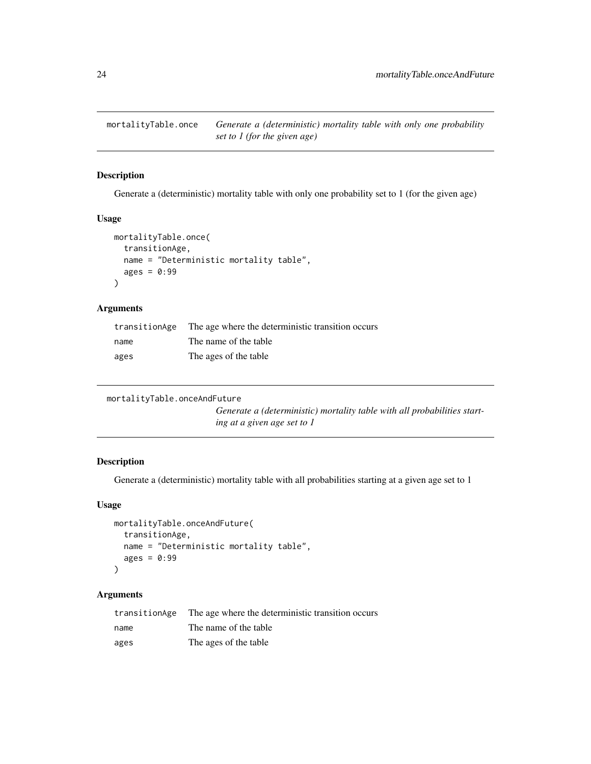<span id="page-23-0"></span>mortalityTable.once *Generate a (deterministic) mortality table with only one probability set to 1 (for the given age)*

# Description

Generate a (deterministic) mortality table with only one probability set to 1 (for the given age)

#### Usage

```
mortalityTable.once(
  transitionAge,
 name = "Deterministic mortality table",
 ages = 0:99)
```
# Arguments

| transitionAge | The age where the deterministic transition occurs |
|---------------|---------------------------------------------------|
| name          | The name of the table                             |
| ages          | The ages of the table                             |

```
mortalityTable.onceAndFuture
```
*Generate a (deterministic) mortality table with all probabilities starting at a given age set to 1*

# Description

Generate a (deterministic) mortality table with all probabilities starting at a given age set to 1

# Usage

```
mortalityTable.onceAndFuture(
  transitionAge,
  name = "Deterministic mortality table",
  ages = 0:99\mathcal{L}
```

| transitionAge | The age where the deterministic transition occurs |
|---------------|---------------------------------------------------|
| name          | The name of the table                             |
| ages          | The ages of the table                             |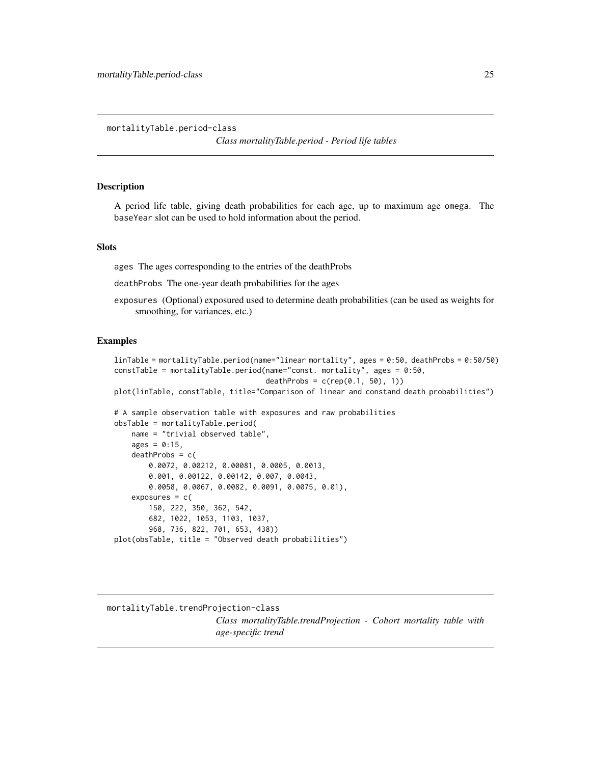<span id="page-24-0"></span>mortalityTable.period-class

*Class mortalityTable.period - Period life tables*

# **Description**

A period life table, giving death probabilities for each age, up to maximum age omega. The baseYear slot can be used to hold information about the period.

#### Slots

ages The ages corresponding to the entries of the deathProbs

deathProbs The one-year death probabilities for the ages

exposures (Optional) exposured used to determine death probabilities (can be used as weights for smoothing, for variances, etc.)

#### Examples

```
linTable = mortalityTable.period(name="linear mortality", ages = 0:50, deathProbs = 0:50/50)
constTable = mortalityTable.period(name="const. mortality", ages = 0:50,
                                   deathProbs = c(rep(0.1, 50), 1))plot(linTable, constTable, title="Comparison of linear and constand death probabilities")
# A sample observation table with exposures and raw probabilities
obsTable = mortalityTable.period(
   name = "trivial observed table",
   ages = 0:15,deathProbs = c(0.0072, 0.00212, 0.00081, 0.0005, 0.0013,
       0.001, 0.00122, 0.00142, 0.007, 0.0043,
       0.0058, 0.0067, 0.0082, 0.0091, 0.0075, 0.01),
    exposures = c(150, 222, 350, 362, 542,
       682, 1022, 1053, 1103, 1037,
       968, 736, 822, 701, 653, 438))
plot(obsTable, title = "Observed death probabilities")
```
mortalityTable.trendProjection-class *Class mortalityTable.trendProjection - Cohort mortality table with age-specific trend*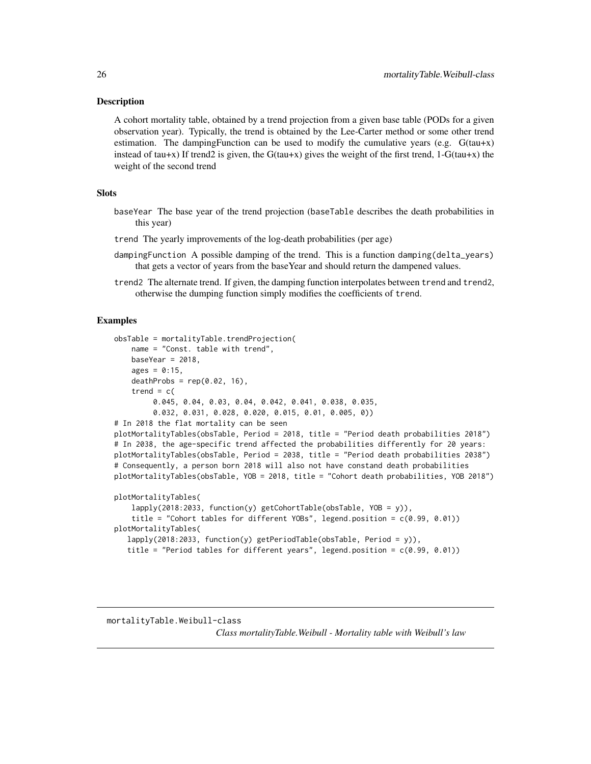#### <span id="page-25-0"></span>Description

A cohort mortality table, obtained by a trend projection from a given base table (PODs for a given observation year). Typically, the trend is obtained by the Lee-Carter method or some other trend estimation. The damping Function can be used to modify the cumulative years (e.g.  $G(tau+x)$ ) instead of tau+x) If trend2 is given, the  $G(tau+x)$  gives the weight of the first trend, 1- $G(tau+x)$  the weight of the second trend

# **Slots**

- baseYear The base year of the trend projection (baseTable describes the death probabilities in this year)
- trend The yearly improvements of the log-death probabilities (per age)
- dampingFunction A possible damping of the trend. This is a function damping(delta\_years) that gets a vector of years from the baseYear and should return the dampened values.
- trend2 The alternate trend. If given, the damping function interpolates between trend and trend2, otherwise the dumping function simply modifies the coefficients of trend.

# Examples

```
obsTable = mortalityTable.trendProjection(
   name = "Const. table with trend",
   baseYear = 2018,
   ages = 0:15,deathProbs = rep(0.02, 16),
    trend = c(0.045, 0.04, 0.03, 0.04, 0.042, 0.041, 0.038, 0.035,
         0.032, 0.031, 0.028, 0.020, 0.015, 0.01, 0.005, 0))
# In 2018 the flat mortality can be seen
plotMortalityTables(obsTable, Period = 2018, title = "Period death probabilities 2018")
# In 2038, the age-specific trend affected the probabilities differently for 20 years:
plotMortalityTables(obsTable, Period = 2038, title = "Period death probabilities 2038")
# Consequently, a person born 2018 will also not have constand death probabilities
plotMortalityTables(obsTable, YOB = 2018, title = "Cohort death probabilities, YOB 2018")
plotMortalityTables(
    lapply(2018:2033, function(y) getCohortTable(obsTable, YOB = y)),
    title = "Cohort tables for different YOBs", legend.position = c(0.99, 0.01))
plotMortalityTables(
   lapply(2018:2033, function(y) getPeriodTable(obsTable, Period = y)),
   title = "Period tables for different years", legend.position = c(0.99, 0.01))
```
# mortalityTable.Weibull-class

*Class mortalityTable.Weibull - Mortality table with Weibull's law*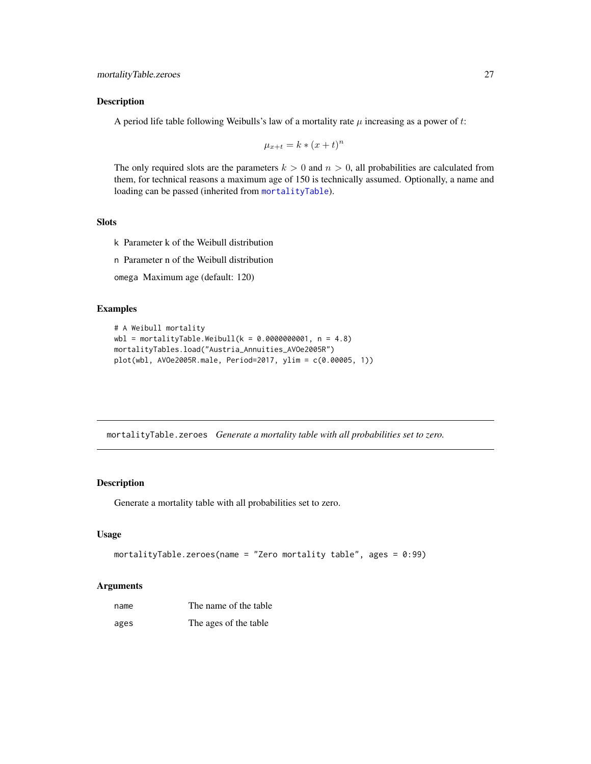# <span id="page-26-0"></span>Description

A period life table following Weibulls's law of a mortality rate  $\mu$  increasing as a power of t:

$$
\mu_{x+t} = k * (x+t)^n
$$

The only required slots are the parameters  $k > 0$  and  $n > 0$ , all probabilities are calculated from them, for technical reasons a maximum age of 150 is technically assumed. Optionally, a name and loading can be passed (inherited from [mortalityTable](#page-18-2)).

# Slots

- k Parameter k of the Weibull distribution
- n Parameter n of the Weibull distribution
- omega Maximum age (default: 120)

# Examples

```
# A Weibull mortality
wb1 = mortalityTable. Weibull(k = 0.0000000001, n = 4.8)mortalityTables.load("Austria_Annuities_AVOe2005R")
plot(wbl, AVOe2005R.male, Period=2017, ylim = c(0.00005, 1))
```
mortalityTable.zeroes *Generate a mortality table with all probabilities set to zero.*

# Description

Generate a mortality table with all probabilities set to zero.

#### Usage

```
mortalityTable.zeroes(name = "Zero mortality table", ages = 0:99)
```

| name | The name of the table |
|------|-----------------------|
| ages | The ages of the table |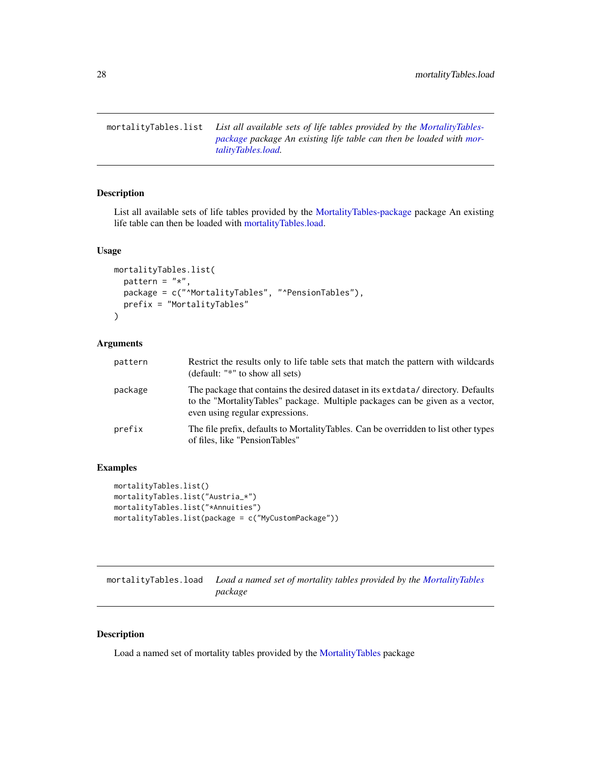<span id="page-27-2"></span><span id="page-27-0"></span>mortalityTables.list *List all available sets of life tables provided by the [MortalityTables](#page-2-1)[package](#page-2-1) package An existing life table can then be loaded with [mor](#page-27-1)[talityTables.load.](#page-27-1)*

# Description

List all available sets of life tables provided by the [MortalityTables-package](#page-2-1) package An existing life table can then be loaded with [mortalityTables.load.](#page-27-1)

# Usage

```
mortalityTables.list(
 pattern = "*",package = c("^MortalityTables", "^PensionTables"),
 prefix = "MortalityTables"
)
```
# Arguments

| pattern | Restrict the results only to life table sets that match the pattern with wildcards<br>(default: "*" to show all sets)                                                                                  |
|---------|--------------------------------------------------------------------------------------------------------------------------------------------------------------------------------------------------------|
| package | The package that contains the desired dataset in its extracted directory. Defaults<br>to the "MortalityTables" package. Multiple packages can be given as a vector,<br>even using regular expressions. |
| prefix  | The file prefix, defaults to Mortality Tables. Can be overridden to list other types<br>of files, like "PensionTables"                                                                                 |

# Examples

```
mortalityTables.list()
mortalityTables.list("Austria_*")
mortalityTables.list("*Annuities")
mortalityTables.list(package = c("MyCustomPackage"))
```
<span id="page-27-1"></span>mortalityTables.load *Load a named set of mortality tables provided by the [MortalityTables](#page-2-2) package*

# Description

Load a named set of mortality tables provided by the [MortalityTables](#page-2-2) package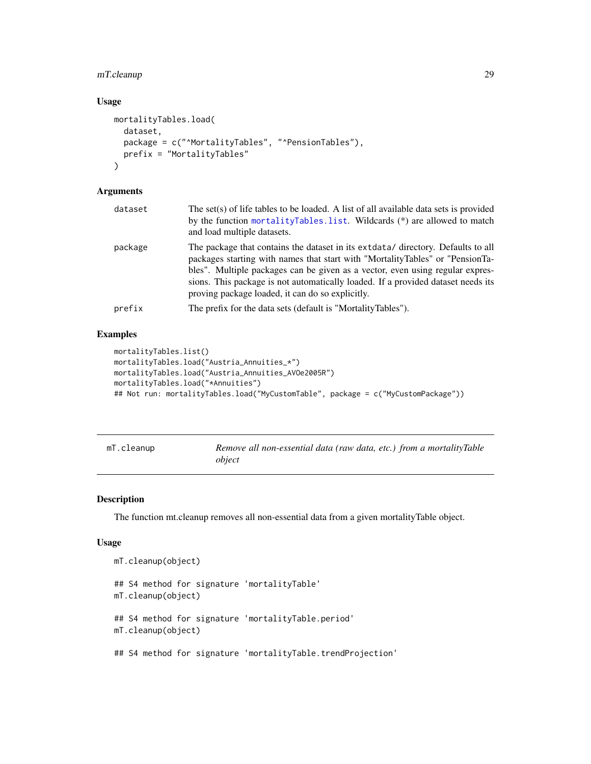# <span id="page-28-0"></span>mT.cleanup 29

# Usage

```
mortalityTables.load(
  dataset,
  package = c("^MortalityTables", "^PensionTables"),
 prefix = "MortalityTables"
)
```
# Arguments

| package | The package that contains the dataset in its extracted directory. Defaults to all<br>packages starting with names that start with "MortalityTables" or "PensionTa-<br>bles". Multiple packages can be given as a vector, even using regular expres-<br>sions. This package is not automatically loaded. If a provided dataset needs its<br>proving package loaded, it can do so explicitly. |
|---------|---------------------------------------------------------------------------------------------------------------------------------------------------------------------------------------------------------------------------------------------------------------------------------------------------------------------------------------------------------------------------------------------|
| prefix  | The prefix for the data sets (default is "MortalityTables").                                                                                                                                                                                                                                                                                                                                |

# Examples

```
mortalityTables.list()
mortalityTables.load("Austria_Annuities_*")
mortalityTables.load("Austria_Annuities_AVOe2005R")
mortalityTables.load("*Annuities")
## Not run: mortalityTables.load("MyCustomTable", package = c("MyCustomPackage"))
```

| mT.cleanup | Remove all non-essential data (raw data, etc.) from a mortalityTable |
|------------|----------------------------------------------------------------------|
|            | object                                                               |

# Description

The function mt.cleanup removes all non-essential data from a given mortalityTable object.

# Usage

```
mT.cleanup(object)
## S4 method for signature 'mortalityTable'
mT.cleanup(object)
## S4 method for signature 'mortalityTable.period'
mT.cleanup(object)
## S4 method for signature 'mortalityTable.trendProjection'
```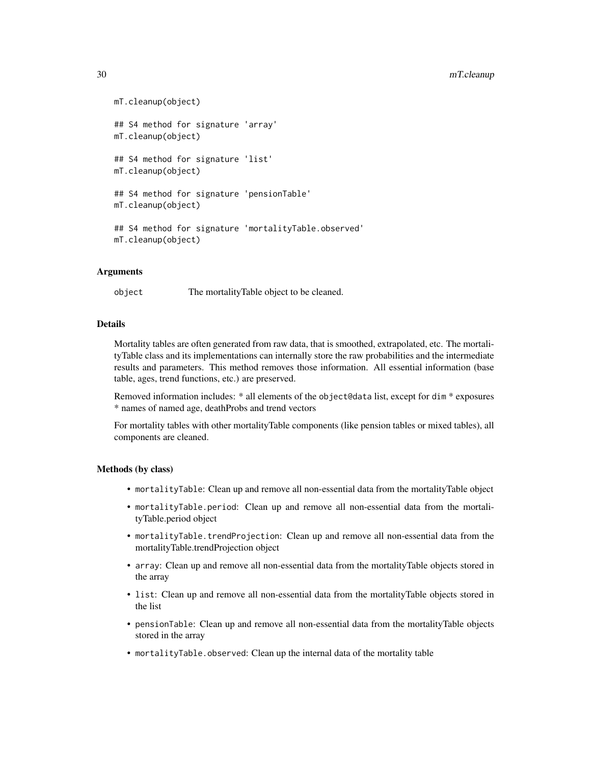```
mT.cleanup(object)
## S4 method for signature 'array'
mT.cleanup(object)
## S4 method for signature 'list'
mT.cleanup(object)
## S4 method for signature 'pensionTable'
mT.cleanup(object)
## S4 method for signature 'mortalityTable.observed'
mT.cleanup(object)
```
# Arguments

object The mortalityTable object to be cleaned.

# Details

Mortality tables are often generated from raw data, that is smoothed, extrapolated, etc. The mortalityTable class and its implementations can internally store the raw probabilities and the intermediate results and parameters. This method removes those information. All essential information (base table, ages, trend functions, etc.) are preserved.

Removed information includes: \* all elements of the object@data list, except for dim \* exposures \* names of named age, deathProbs and trend vectors

For mortality tables with other mortalityTable components (like pension tables or mixed tables), all components are cleaned.

# Methods (by class)

- mortalityTable: Clean up and remove all non-essential data from the mortalityTable object
- mortalityTable.period: Clean up and remove all non-essential data from the mortalityTable.period object
- mortalityTable.trendProjection: Clean up and remove all non-essential data from the mortalityTable.trendProjection object
- array: Clean up and remove all non-essential data from the mortalityTable objects stored in the array
- list: Clean up and remove all non-essential data from the mortalityTable objects stored in the list
- pensionTable: Clean up and remove all non-essential data from the mortalityTable objects stored in the array
- mortalityTable.observed: Clean up the internal data of the mortality table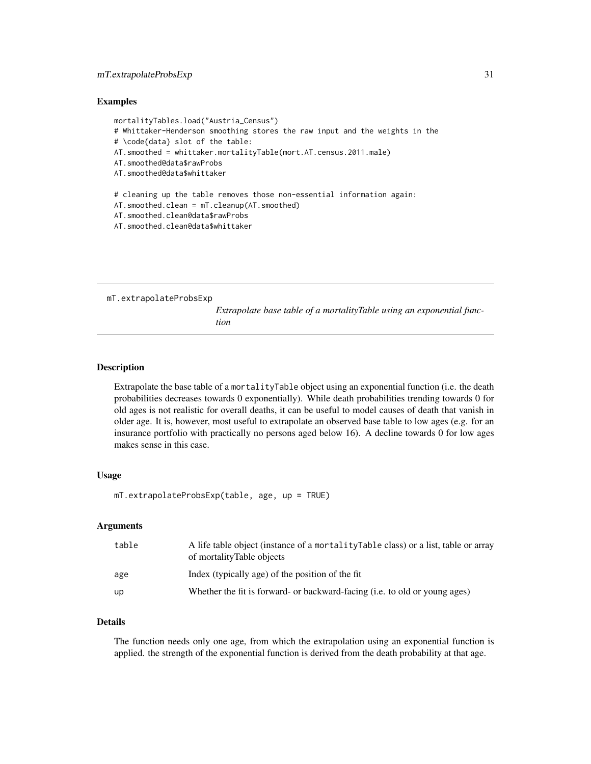# <span id="page-30-0"></span>mT.extrapolateProbsExp 31

#### Examples

```
mortalityTables.load("Austria_Census")
# Whittaker-Henderson smoothing stores the raw input and the weights in the
# \code{data} slot of the table:
AT.smoothed = whittaker.mortalityTable(mort.AT.census.2011.male)
AT.smoothed@data$rawProbs
AT.smoothed@data$whittaker
# cleaning up the table removes those non-essential information again:
AT.smoothed.clean = mT.cleanup(AT.smoothed)
AT.smoothed.clean@data$rawProbs
AT.smoothed.clean@data$whittaker
```
mT.extrapolateProbsExp

*Extrapolate base table of a mortalityTable using an exponential function*

# **Description**

Extrapolate the base table of a mortalityTable object using an exponential function (i.e. the death probabilities decreases towards 0 exponentially). While death probabilities trending towards 0 for old ages is not realistic for overall deaths, it can be useful to model causes of death that vanish in older age. It is, however, most useful to extrapolate an observed base table to low ages (e.g. for an insurance portfolio with practically no persons aged below 16). A decline towards 0 for low ages makes sense in this case.

# Usage

mT.extrapolateProbsExp(table, age, up = TRUE)

# Arguments

| table | A life table object (instance of a mortality Table class) or a list, table or array<br>of mortalityTable objects |
|-------|------------------------------------------------------------------------------------------------------------------|
| age   | Index (typically age) of the position of the fit                                                                 |
| up    | Whether the fit is forward- or backward-facing ( <i>i.e.</i> to old or young ages)                               |

# Details

The function needs only one age, from which the extrapolation using an exponential function is applied. the strength of the exponential function is derived from the death probability at that age.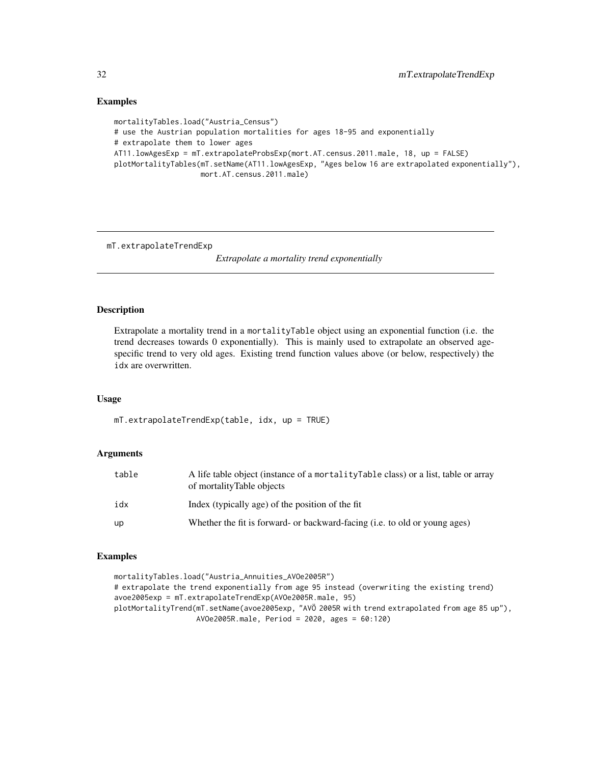# Examples

```
mortalityTables.load("Austria_Census")
# use the Austrian population mortalities for ages 18-95 and exponentially
# extrapolate them to lower ages
AT11.lowAgesExp = mT.extrapolateProbsExp(mort.AT.census.2011.male, 18, up = FALSE)
plotMortalityTables(mT.setName(AT11.lowAgesExp, "Ages below 16 are extrapolated exponentially"),
                    mort.AT.census.2011.male)
```
mT.extrapolateTrendExp

*Extrapolate a mortality trend exponentially*

#### Description

Extrapolate a mortality trend in a mortalityTable object using an exponential function (i.e. the trend decreases towards 0 exponentially). This is mainly used to extrapolate an observed agespecific trend to very old ages. Existing trend function values above (or below, respectively) the idx are overwritten.

# Usage

mT.extrapolateTrendExp(table, idx, up = TRUE)

# Arguments

| table | A life table object (instance of a mortality Table class) or a list, table or array<br>of mortality Table objects |
|-------|-------------------------------------------------------------------------------------------------------------------|
| idx   | Index (typically age) of the position of the fit                                                                  |
| up    | Whether the fit is forward- or backward-facing (i.e. to old or young ages)                                        |

```
mortalityTables.load("Austria_Annuities_AVOe2005R")
# extrapolate the trend exponentially from age 95 instead (overwriting the existing trend)
avoe2005exp = mT.extrapolateTrendExp(AVOe2005R.male, 95)
plotMortalityTrend(mT.setName(avoe2005exp, "AVÖ 2005R with trend extrapolated from age 85 up"),
                   AVOe2005R.male, Period = 2020, ages = 60:120)
```
<span id="page-31-0"></span>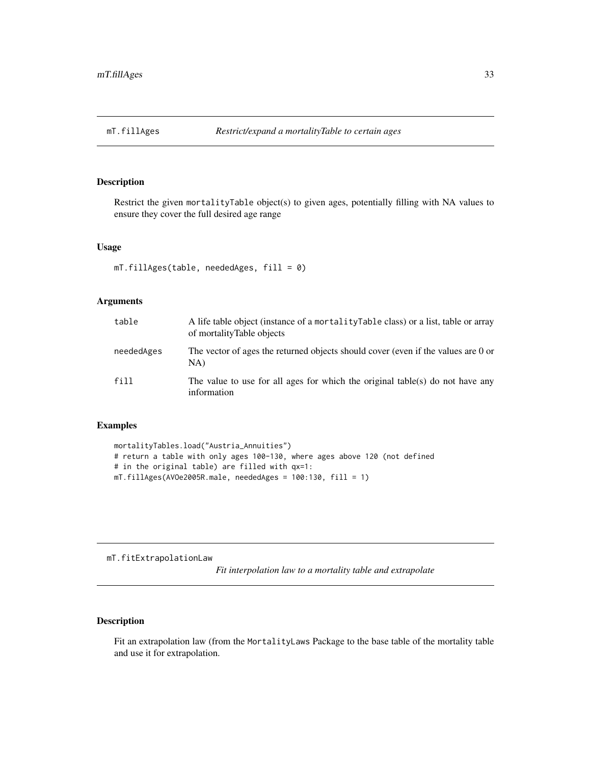<span id="page-32-0"></span>

# Description

Restrict the given mortalityTable object(s) to given ages, potentially filling with NA values to ensure they cover the full desired age range

#### Usage

```
mT.fillAges(table, neededAges, fill = 0)
```
#### Arguments

| table      | A life table object (instance of a mortality Table class) or a list, table or array<br>of mortalityTable objects |
|------------|------------------------------------------------------------------------------------------------------------------|
| neededAges | The vector of ages the returned objects should cover (even if the values are 0 or<br>NA)                         |
| fill       | The value to use for all ages for which the original table(s) do not have any<br>information                     |

# Examples

```
mortalityTables.load("Austria_Annuities")
# return a table with only ages 100-130, where ages above 120 (not defined
# in the original table) are filled with qx=1:
mT.fillAges(AVOe2005R.male, neededAges = 100:130, fill = 1)
```
mT.fitExtrapolationLaw

*Fit interpolation law to a mortality table and extrapolate*

# Description

Fit an extrapolation law (from the MortalityLaws Package to the base table of the mortality table and use it for extrapolation.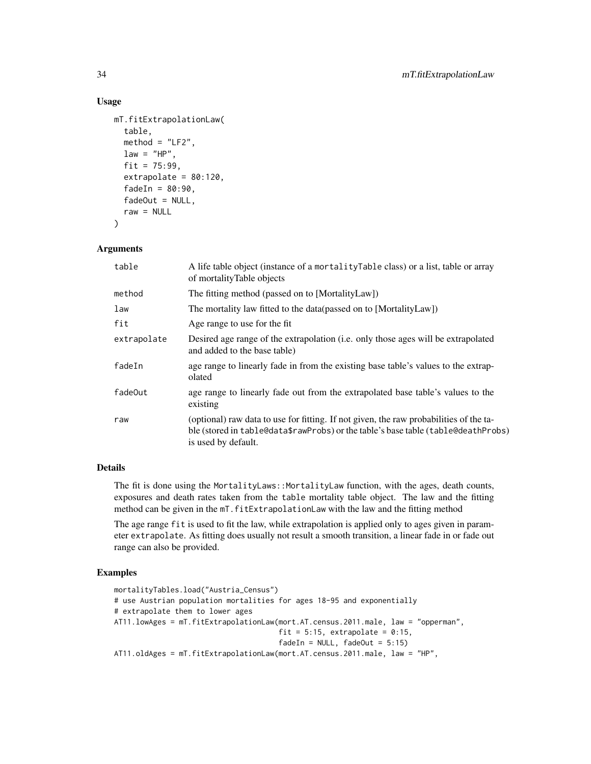# Usage

```
mT.fitExtrapolationLaw(
  table,
  method = "LF2",
  law = "HP",fit = 75:99,
  extrapolate = 80:120,
  fadeIn = 80:90,
  fadeOut = NULL,raw = NULL
)
```
# Arguments

| table       | A life table object (instance of a mortality Table class) or a list, table or array<br>of mortalityTable objects                                                                                   |
|-------------|----------------------------------------------------------------------------------------------------------------------------------------------------------------------------------------------------|
| method      | The fitting method (passed on to [MortalityLaw])                                                                                                                                                   |
| law         | The mortality law fitted to the data (passed on to [MortalityLaw])                                                                                                                                 |
| fit         | Age range to use for the fit                                                                                                                                                                       |
| extrapolate | Desired age range of the extrapolation ( <i>i.e.</i> only those ages will be extrapolated<br>and added to the base table)                                                                          |
| fadeIn      | age range to linearly fade in from the existing base table's values to the extrap-<br>olated                                                                                                       |
| fade0ut     | age range to linearly fade out from the extrapolated base table's values to the<br>existing                                                                                                        |
| raw         | (optional) raw data to use for fitting. If not given, the raw probabilities of the ta-<br>ble (stored in table@data\$rawProbs) or the table's base table (table@deathProbs)<br>is used by default. |

# Details

The fit is done using the MortalityLaws::MortalityLaw function, with the ages, death counts, exposures and death rates taken from the table mortality table object. The law and the fitting method can be given in the mT.fitExtrapolationLaw with the law and the fitting method

The age range fit is used to fit the law, while extrapolation is applied only to ages given in parameter extrapolate. As fitting does usually not result a smooth transition, a linear fade in or fade out range can also be provided.

```
mortalityTables.load("Austria_Census")
# use Austrian population mortalities for ages 18-95 and exponentially
# extrapolate them to lower ages
AT11.lowAges = mT.fitExtrapolationLaw(mort.AT.census.2011.male, law = "opperman",
                                      fit = 5:15, extrapolate = 0:15,
                                      fadeIn = NULL, fadeOut = 5:15)AT11.oldAges = mT.fitExtrapolationLaw(mort.AT.census.2011.male, law = "HP",
```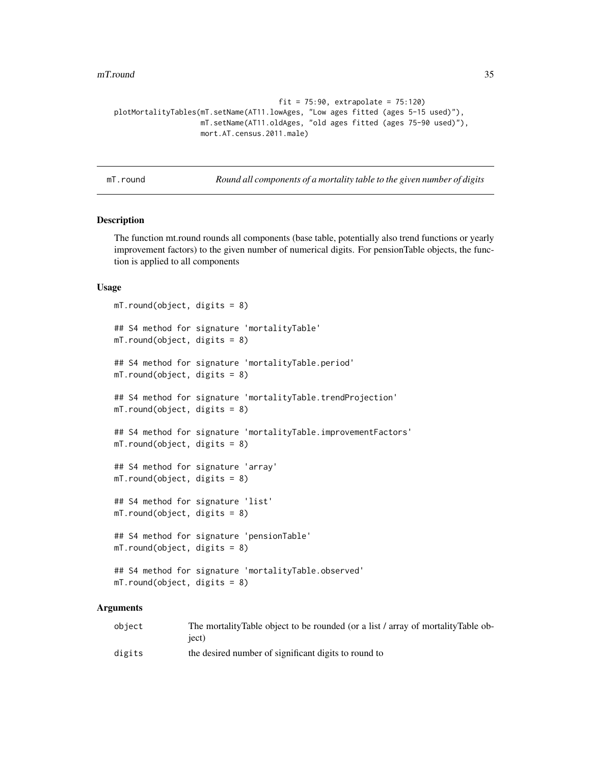```
fit = 75:90, extrapolate = 75:120)
plotMortalityTables(mT.setName(AT11.lowAges, "Low ages fitted (ages 5-15 used)"),
                   mT.setName(AT11.oldAges, "old ages fitted (ages 75-90 used)"),
                   mort.AT.census.2011.male)
```
mT.round *Round all components of a mortality table to the given number of digits*

# Description

The function mt.round rounds all components (base table, potentially also trend functions or yearly improvement factors) to the given number of numerical digits. For pensionTable objects, the function is applied to all components

#### Usage

```
mT.round(object, digits = 8)
## S4 method for signature 'mortalityTable'
mT.round(object, digits = 8)
## S4 method for signature 'mortalityTable.period'
mT.round(object, digits = 8)
## S4 method for signature 'mortalityTable.trendProjection'
mT.round(object, digits = 8)
## S4 method for signature 'mortalityTable.improvementFactors'
mT.round(object, digits = 8)
## S4 method for signature 'array'
mT.round(object, digits = 8)
## S4 method for signature 'list'
mT.round(object, digits = 8)
## S4 method for signature 'pensionTable'
mT.round(object, digits = 8)
## S4 method for signature 'mortalityTable.observed'
mT.round(object, digits = 8)
```

| object | The mortality Table object to be rounded (or a list / array of mortality Table ob-<br>iect) |
|--------|---------------------------------------------------------------------------------------------|
| digits | the desired number of significant digits to round to                                        |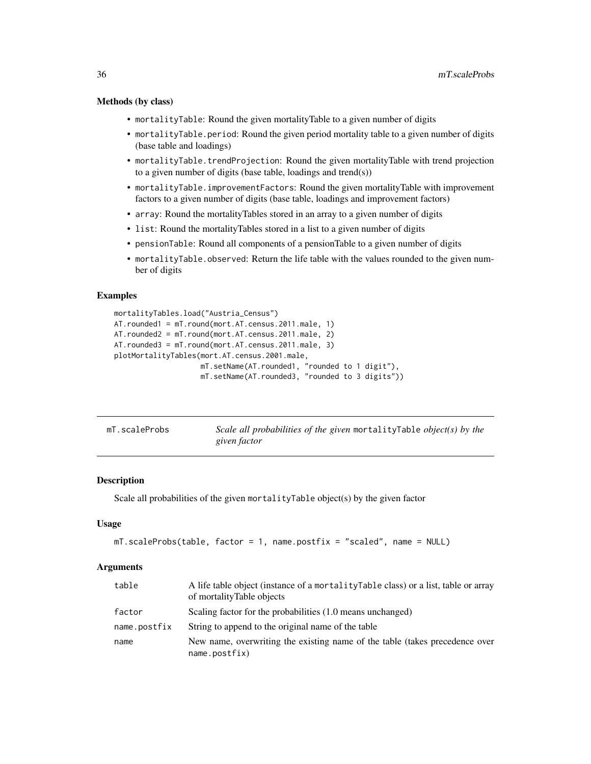#### <span id="page-35-0"></span>Methods (by class)

- mortalityTable: Round the given mortalityTable to a given number of digits
- mortalityTable.period: Round the given period mortality table to a given number of digits (base table and loadings)
- mortalityTable.trendProjection: Round the given mortalityTable with trend projection to a given number of digits (base table, loadings and trend(s))
- mortalityTable.improvementFactors: Round the given mortalityTable with improvement factors to a given number of digits (base table, loadings and improvement factors)
- array: Round the mortalityTables stored in an array to a given number of digits
- list: Round the mortalityTables stored in a list to a given number of digits
- pensionTable: Round all components of a pensionTable to a given number of digits
- mortalityTable.observed: Return the life table with the values rounded to the given number of digits

#### Examples

```
mortalityTables.load("Austria_Census")
AT.rounded1 = mT.round(mort.AT.census.2011.male, 1)
AT.rounded2 = mT.round(mort.AT.census.2011.male, 2)
AT.rounded3 = mT.round(mort.AT.census.2011.male, 3)
plotMortalityTables(mort.AT.census.2001.male,
                    mT.setName(AT.rounded1, "rounded to 1 digit"),
                    mT.setName(AT.rounded3, "rounded to 3 digits"))
```

| mT.scaleProbs | Scale all probabilities of the given mortality Table object(s) by the |
|---------------|-----------------------------------------------------------------------|
|               | given factor                                                          |

#### Description

Scale all probabilities of the given mortalityTable object(s) by the given factor

# Usage

```
mT.scaleProbs(table, factor = 1, name.postfix = "scaled", name = NULL)
```

| table        | A life table object (instance of a mortality Table class) or a list, table or array<br>of mortalityTable objects |
|--------------|------------------------------------------------------------------------------------------------------------------|
| factor       | Scaling factor for the probabilities (1.0 means unchanged)                                                       |
| name.postfix | String to append to the original name of the table                                                               |
| name         | New name, overwriting the existing name of the table (takes precedence over<br>name.postfix)                     |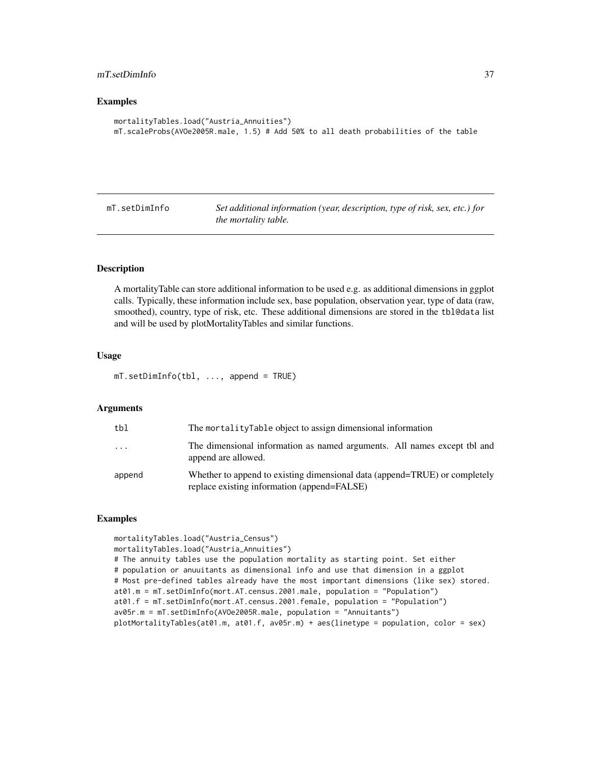# <span id="page-36-0"></span>mT.setDimInfo 37

#### Examples

```
mortalityTables.load("Austria_Annuities")
mT.scaleProbs(AVOe2005R.male, 1.5) # Add 50% to all death probabilities of the table
```
mT.setDimInfo *Set additional information (year, description, type of risk, sex, etc.) for the mortality table.*

# Description

A mortalityTable can store additional information to be used e.g. as additional dimensions in ggplot calls. Typically, these information include sex, base population, observation year, type of data (raw, smoothed), country, type of risk, etc. These additional dimensions are stored in the tbl@data list and will be used by plotMortalityTables and similar functions.

# Usage

mT.setDimInfo(tbl, ..., append = TRUE)

# Arguments

| tbl    | The mortalityTable object to assign dimensional information                                                               |
|--------|---------------------------------------------------------------------------------------------------------------------------|
| .      | The dimensional information as named arguments. All names except tbl and<br>append are allowed.                           |
| append | Whether to append to existing dimensional data (append=TRUE) or completely<br>replace existing information (append=FALSE) |

```
mortalityTables.load("Austria_Census")
mortalityTables.load("Austria_Annuities")
# The annuity tables use the population mortality as starting point. Set either
# population or anuuitants as dimensional info and use that dimension in a ggplot
# Most pre-defined tables already have the most important dimensions (like sex) stored.
at01.m = mT.setDimInfo(mort.AT.census.2001.male, population = "Population")
at01.f = mT.setDimInfo(mort.AT.census.2001.female, population = "Population")
av05r.m = mT.setDimInfo(AVOe2005R.male, population = "Annuitants")
plotMortalityTables(at01.m, at01.f, av05r.m) + aes(linetype = population, color = sex)
```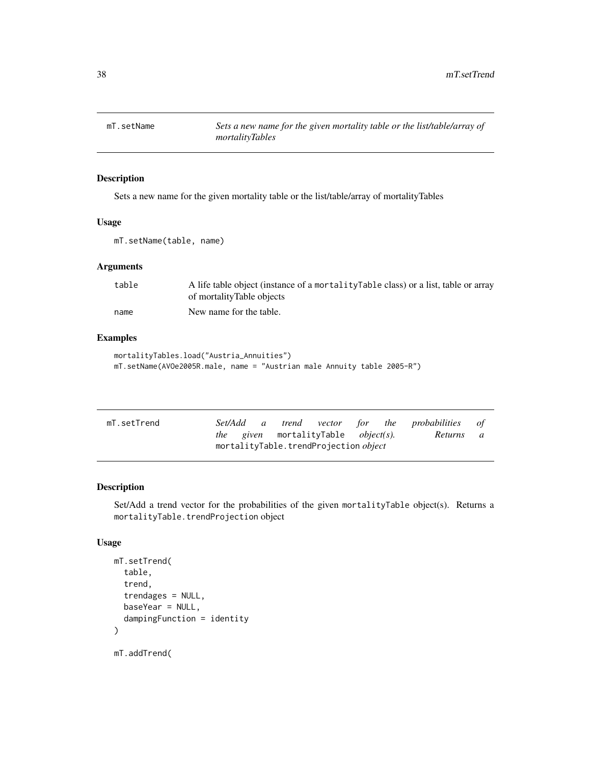<span id="page-37-0"></span>

# Description

Sets a new name for the given mortality table or the list/table/array of mortalityTables

# Usage

mT.setName(table, name)

#### Arguments

| table | A life table object (instance of a mortality Table class) or a list, table or array |
|-------|-------------------------------------------------------------------------------------|
|       | of mortalityTable objects                                                           |
| name  | New name for the table.                                                             |

# Examples

```
mortalityTables.load("Austria_Annuities")
mT.setName(AVOe2005R.male, name = "Austrian male Annuity table 2005-R")
```

| mT.setTrend | Set/Add a | trend vector for the probabilities of              |           |  |
|-------------|-----------|----------------------------------------------------|-----------|--|
|             |           | <i>the given</i> mortalityTable <i>object(s)</i> . | Returns a |  |
|             |           | mortalityTable.trendProjection object              |           |  |

# Description

Set/Add a trend vector for the probabilities of the given mortalityTable object(s). Returns a mortalityTable.trendProjection object

# Usage

```
mT.setTrend(
  table,
  trend,
  trendages = NULL,
 baseYear = NULL,
  dampingFunction = identity
)
```
mT.addTrend(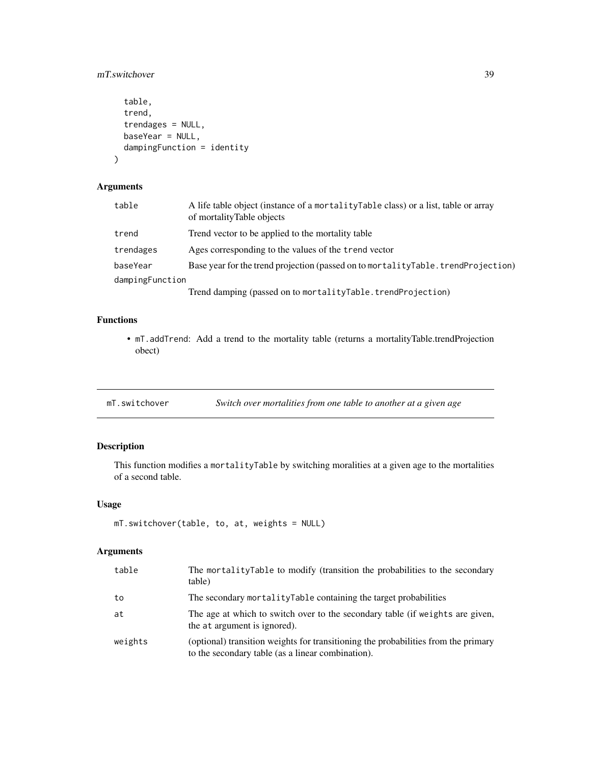# <span id="page-38-0"></span>mT.switchover 39

```
table,
  trend,
  trendages = NULL,
 baseYear = NULL,
 dampingFunction = identity
)
```
# Arguments

| table           | A life table object (instance of a mortality Table class) or a list, table or array<br>of mortalityTable objects |  |
|-----------------|------------------------------------------------------------------------------------------------------------------|--|
| trend           | Trend vector to be applied to the mortality table                                                                |  |
| trendages       | Ages corresponding to the values of the trend vector                                                             |  |
| baseYear        | Base year for the trend projection (passed on to mortalityTable.trendProjection)                                 |  |
| dampingFunction |                                                                                                                  |  |
|                 | Trend damping (passed on to mortalityTable.trendProjection)                                                      |  |

# Functions

• mT.addTrend: Add a trend to the mortality table (returns a mortalityTable.trendProjection obect)

mT.switchover *Switch over mortalities from one table to another at a given age*

# Description

This function modifies a mortalityTable by switching moralities at a given age to the mortalities of a second table.

# Usage

```
mT.switchover(table, to, at, weights = NULL)
```

| table   | The mortalityTable to modify (transition the probabilities to the secondary<br>table)                                                   |
|---------|-----------------------------------------------------------------------------------------------------------------------------------------|
| to      | The secondary mortality Table containing the target probabilities                                                                       |
| at      | The age at which to switch over to the secondary table (if weights are given,<br>the at argument is ignored).                           |
| weights | (optional) transition weights for transitioning the probabilities from the primary<br>to the secondary table (as a linear combination). |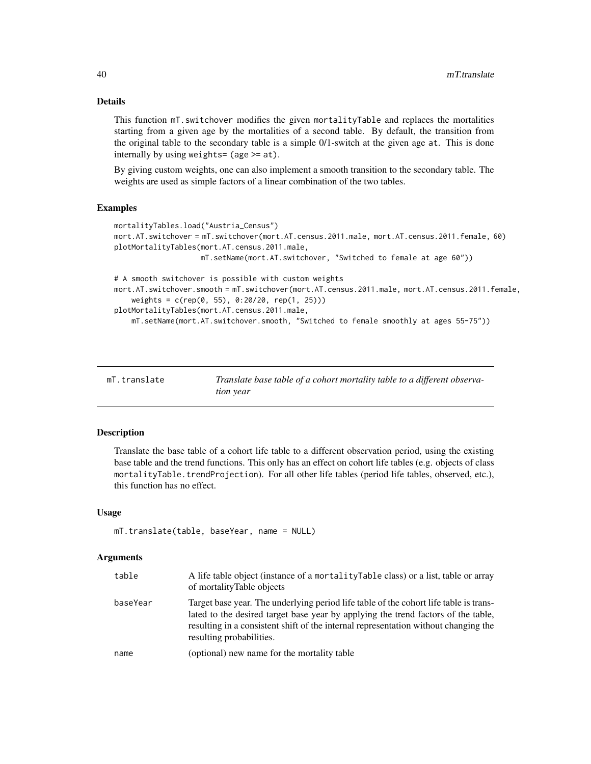# Details

This function mT.switchover modifies the given mortalityTable and replaces the mortalities starting from a given age by the mortalities of a second table. By default, the transition from the original table to the secondary table is a simple 0/1-switch at the given age at. This is done internally by using weights= (age >= at).

By giving custom weights, one can also implement a smooth transition to the secondary table. The weights are used as simple factors of a linear combination of the two tables.

# Examples

```
mortalityTables.load("Austria_Census")
mort.AT.switchover = mT.switchover(mort.AT.census.2011.male, mort.AT.census.2011.female, 60)
plotMortalityTables(mort.AT.census.2011.male,
                   mT.setName(mort.AT.switchover, "Switched to female at age 60"))
# A smooth switchover is possible with custom weights
mort.AT.switchover.smooth = mT.switchover(mort.AT.census.2011.male, mort.AT.census.2011.female,
    weights = c(rep(0, 55), 0:20/20, rep(1, 25)))plotMortalityTables(mort.AT.census.2011.male,
    mT.setName(mort.AT.switchover.smooth, "Switched to female smoothly at ages 55-75"))
```

| mT.translate | Translate base table of a cohort mortality table to a different observa- |
|--------------|--------------------------------------------------------------------------|
|              | tion year                                                                |

# Description

Translate the base table of a cohort life table to a different observation period, using the existing base table and the trend functions. This only has an effect on cohort life tables (e.g. objects of class mortalityTable.trendProjection). For all other life tables (period life tables, observed, etc.), this function has no effect.

#### Usage

```
mT.translate(table, baseYear, name = NULL)
```

| table    | A life table object (instance of a mortality Table class) or a list, table or array<br>of mortalityTable objects                                                                                                                                                                              |
|----------|-----------------------------------------------------------------------------------------------------------------------------------------------------------------------------------------------------------------------------------------------------------------------------------------------|
| baseYear | Target base year. The underlying period life table of the cohort life table is trans-<br>lated to the desired target base year by applying the trend factors of the table,<br>resulting in a consistent shift of the internal representation without changing the<br>resulting probabilities. |
| name     | (optional) new name for the mortality table                                                                                                                                                                                                                                                   |

<span id="page-39-0"></span>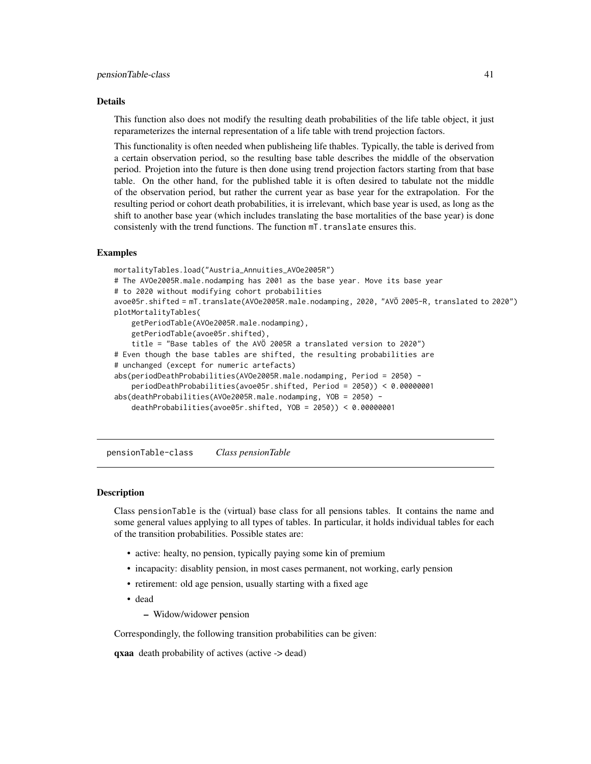#### <span id="page-40-0"></span>Details

This function also does not modify the resulting death probabilities of the life table object, it just reparameterizes the internal representation of a life table with trend projection factors.

This functionality is often needed when publisheing life thables. Typically, the table is derived from a certain observation period, so the resulting base table describes the middle of the observation period. Projetion into the future is then done using trend projection factors starting from that base table. On the other hand, for the published table it is often desired to tabulate not the middle of the observation period, but rather the current year as base year for the extrapolation. For the resulting period or cohort death probabilities, it is irrelevant, which base year is used, as long as the shift to another base year (which includes translating the base mortalities of the base year) is done consistenly with the trend functions. The function mT.translate ensures this.

# Examples

```
mortalityTables.load("Austria_Annuities_AVOe2005R")
# The AVOe2005R.male.nodamping has 2001 as the base year. Move its base year
# to 2020 without modifying cohort probabilities
avoe05r.shifted = mT.translate(AVOe2005R.male.nodamping, 2020, "AVÖ 2005-R, translated to 2020")
plotMortalityTables(
    getPeriodTable(AVOe2005R.male.nodamping),
    getPeriodTable(avoe05r.shifted),
    title = "Base tables of the AVÖ 2005R a translated version to 2020")
# Even though the base tables are shifted, the resulting probabilities are
# unchanged (except for numeric artefacts)
abs(periodDeathProbabilities(AVOe2005R.male.nodamping, Period = 2050) -
    periodDeathProbabilities(avoe05r.shifted, Period = 2050)) < 0.00000001
abs(deathProbabilities(AVOe2005R.male.nodamping, YOB = 2050) -
    deathProbabilities(avoe05r.shifted, YOB = 2050)) < 0.00000001
```
<span id="page-40-1"></span>pensionTable-class *Class pensionTable*

# Description

Class pensionTable is the (virtual) base class for all pensions tables. It contains the name and some general values applying to all types of tables. In particular, it holds individual tables for each of the transition probabilities. Possible states are:

- active: healty, no pension, typically paying some kin of premium
- incapacity: disablity pension, in most cases permanent, not working, early pension
- retirement: old age pension, usually starting with a fixed age
- dead
	- Widow/widower pension

Correspondingly, the following transition probabilities can be given:

qxaa death probability of actives (active -> dead)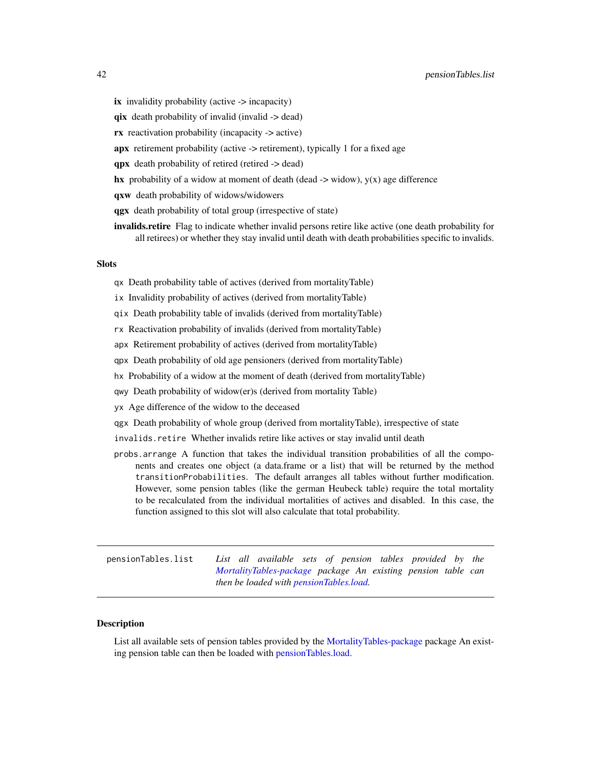- <span id="page-41-0"></span>ix invalidity probability (active -> incapacity)
- qix death probability of invalid (invalid -> dead)
- rx reactivation probability (incapacity -> active)
- apx retirement probability (active -> retirement), typically 1 for a fixed age
- qpx death probability of retired (retired -> dead)
- hx probability of a widow at moment of death (dead  $\rightarrow$  widow),  $y(x)$  age difference
- qxw death probability of widows/widowers
- qgx death probability of total group (irrespective of state)
- **invalids.retire** Flag to indicate whether invalid persons retire like active (one death probability for all retirees) or whether they stay invalid until death with death probabilities specific to invalids.

#### **Slots**

- qx Death probability table of actives (derived from mortalityTable)
- ix Invalidity probability of actives (derived from mortalityTable)
- qix Death probability table of invalids (derived from mortalityTable)
- rx Reactivation probability of invalids (derived from mortalityTable)
- apx Retirement probability of actives (derived from mortalityTable)
- qpx Death probability of old age pensioners (derived from mortalityTable)
- hx Probability of a widow at the moment of death (derived from mortalityTable)
- qwy Death probability of widow(er)s (derived from mortality Table)
- yx Age difference of the widow to the deceased
- qgx Death probability of whole group (derived from mortalityTable), irrespective of state
- invalids.retire Whether invalids retire like actives or stay invalid until death
- probs.arrange A function that takes the individual transition probabilities of all the components and creates one object (a data.frame or a list) that will be returned by the method transitionProbabilities. The default arranges all tables without further modification. However, some pension tables (like the german Heubeck table) require the total mortality to be recalculated from the individual mortalities of actives and disabled. In this case, the function assigned to this slot will also calculate that total probability.

<span id="page-41-1"></span>pensionTables.list *List all available sets of pension tables provided by the [MortalityTables-package](#page-2-1) package An existing pension table can then be loaded with [pensionTables.load.](#page-42-1)*

#### **Description**

List all available sets of pension tables provided by the [MortalityTables-package](#page-2-1) package An existing pension table can then be loaded with [pensionTables.load.](#page-42-1)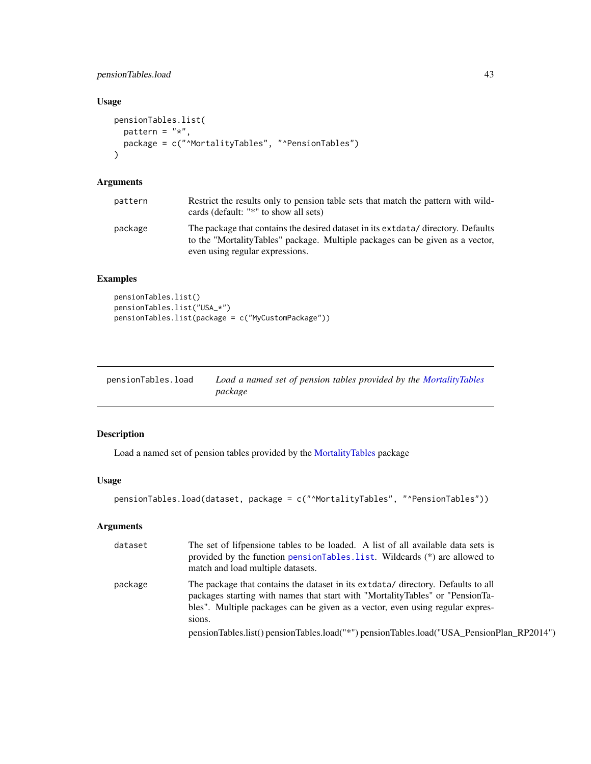# <span id="page-42-0"></span>pensionTables.load 43

# Usage

```
pensionTables.list(
 pattern = "*",package = c("^MortalityTables", "^PensionTables")
)
```
# Arguments

| pattern | Restrict the results only to pension table sets that match the pattern with wild-<br>cards (default: "*" to show all sets)                                                                                |
|---------|-----------------------------------------------------------------------------------------------------------------------------------------------------------------------------------------------------------|
| package | The package that contains the desired dataset in its extended and directory. Defaults<br>to the "MortalityTables" package. Multiple packages can be given as a vector,<br>even using regular expressions. |

# Examples

```
pensionTables.list()
pensionTables.list("USA_*")
pensionTables.list(package = c("MyCustomPackage"))
```
<span id="page-42-1"></span>

| pensionTables.load | Load a named set of pension tables provided by the MortalityTables |
|--------------------|--------------------------------------------------------------------|
|                    | package                                                            |

# Description

Load a named set of pension tables provided by the [MortalityTables](#page-2-2) package

# Usage

```
pensionTables.load(dataset, package = c("^MortalityTables", "^PensionTables"))
```

| dataset | The set of lifpensione tables to be loaded. A list of all available data sets is<br>provided by the function pensionTables.list. Wildcards (*) are allowed to<br>match and load multiple datasets.                                                            |
|---------|---------------------------------------------------------------------------------------------------------------------------------------------------------------------------------------------------------------------------------------------------------------|
| package | The package that contains the dataset in its extracted directory. Defaults to all<br>packages starting with names that start with "MortalityTables" or "PensionTa-<br>bles". Multiple packages can be given as a vector, even using regular expres-<br>sions. |
|         | pensionTables.list() pensionTables.load("*") pensionTables.load("USA_PensionPlan_RP2014")                                                                                                                                                                     |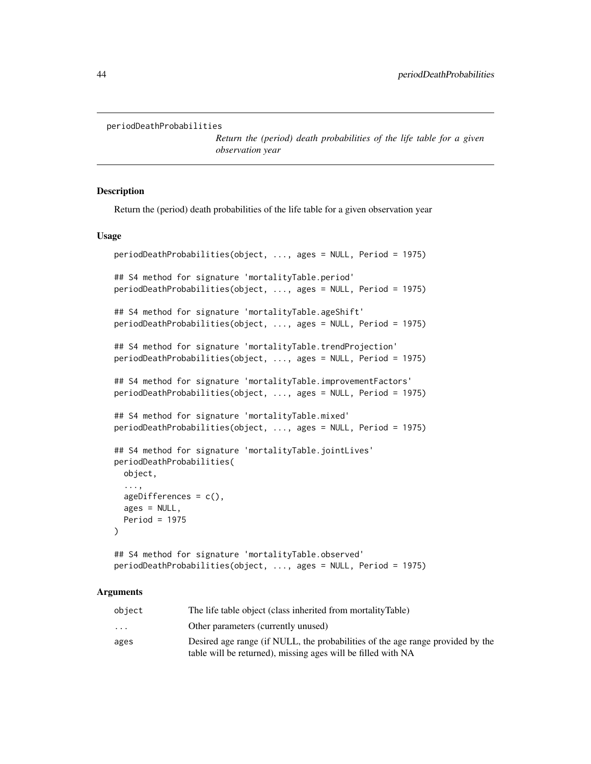```
periodDeathProbabilities
```
*Return the (period) death probabilities of the life table for a given observation year*

# Description

Return the (period) death probabilities of the life table for a given observation year

#### Usage

```
periodDeathProbabilities(object, ..., ages = NULL, Period = 1975)
## S4 method for signature 'mortalityTable.period'
periodDeathProbabilities(object, ..., ages = NULL, Period = 1975)
## S4 method for signature 'mortalityTable.ageShift'
periodDeathProbabilities(object, ..., ages = NULL, Period = 1975)
## S4 method for signature 'mortalityTable.trendProjection'
periodDeathProbabilities(object, ..., ages = NULL, Period = 1975)
## S4 method for signature 'mortalityTable.improvementFactors'
periodDeathProbabilities(object, ..., ages = NULL, Period = 1975)
## S4 method for signature 'mortalityTable.mixed'
periodDeathProbabilities(object, ..., ages = NULL, Period = 1975)
## S4 method for signature 'mortalityTable.jointLives'
periodDeathProbabilities(
 object,
  ...,
 ageDifferences = c(),ages = NULL,
 Period = 1975
)
## S4 method for signature 'mortalityTable.observed'
periodDeathProbabilities(object, ..., ages = NULL, Period = 1975)
```

| object                  | The life table object (class inherited from mortalityTable)                    |
|-------------------------|--------------------------------------------------------------------------------|
| $\cdot$ $\cdot$ $\cdot$ | Other parameters (currently unused)                                            |
| ages                    | Desired age range (if NULL, the probabilities of the age range provided by the |
|                         | table will be returned), missing ages will be filled with NA                   |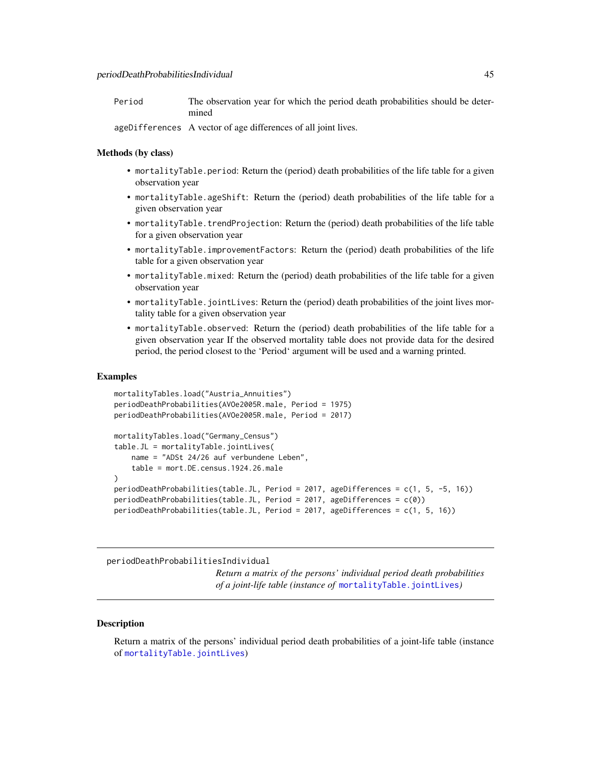<span id="page-44-0"></span>

| Period | The observation year for which the period death probabilities should be deter- |
|--------|--------------------------------------------------------------------------------|
|        | mined                                                                          |

ageDifferences A vector of age differences of all joint lives.

# Methods (by class)

- mortalityTable.period: Return the (period) death probabilities of the life table for a given observation year
- mortalityTable.ageShift: Return the (period) death probabilities of the life table for a given observation year
- mortalityTable.trendProjection: Return the (period) death probabilities of the life table for a given observation year
- mortalityTable.improvementFactors: Return the (period) death probabilities of the life table for a given observation year
- mortalityTable.mixed: Return the (period) death probabilities of the life table for a given observation year
- mortalityTable.jointLives: Return the (period) death probabilities of the joint lives mortality table for a given observation year
- mortalityTable.observed: Return the (period) death probabilities of the life table for a given observation year If the observed mortality table does not provide data for the desired period, the period closest to the 'Period' argument will be used and a warning printed.

#### Examples

```
mortalityTables.load("Austria_Annuities")
periodDeathProbabilities(AVOe2005R.male, Period = 1975)
periodDeathProbabilities(AVOe2005R.male, Period = 2017)
mortalityTables.load("Germany_Census")
table.JL = mortalityTable.jointLives(
   name = "ADSt 24/26 auf verbundene Leben",
    table = mort.DE.census.1924.26.male
)
periodDeathProbabilities(table.JL, Period = 2017, ageDifferences = c(1, 5, -5, 16))
periodDeathProbabilities(table.JL, Period = 2017, ageDifferences = c(0))
periodDeathProbabilities(table.JL, Period = 2017, ageDifferences = c(1, 5, 16))
```
periodDeathProbabilitiesIndividual

*Return a matrix of the persons' individual period death probabilities of a joint-life table (instance of* [mortalityTable.jointLives](#page-20-1)*)*

#### **Description**

Return a matrix of the persons' individual period death probabilities of a joint-life table (instance of [mortalityTable.jointLives](#page-20-1))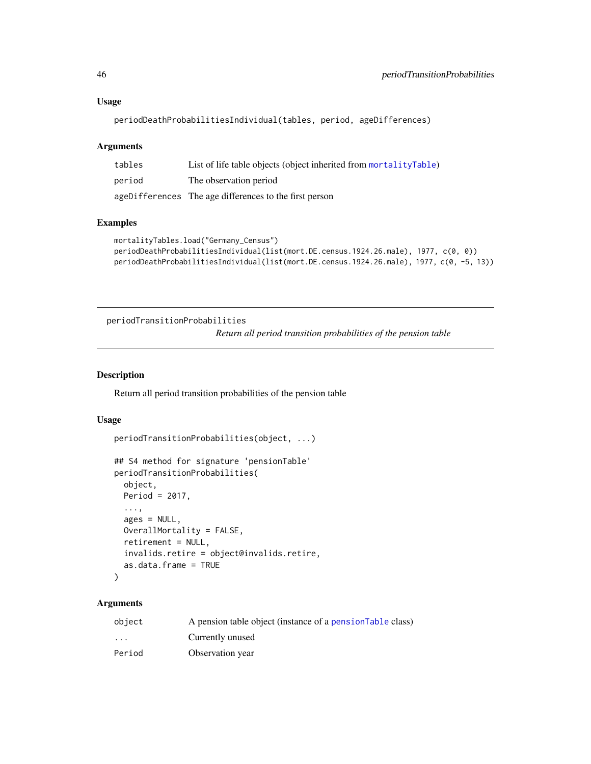```
periodDeathProbabilitiesIndividual(tables, period, ageDifferences)
```
# Arguments

| tables | List of life table objects (object inherited from mortalityTable) |
|--------|-------------------------------------------------------------------|
| period | The observation period                                            |
|        | ageDifferences The age differences to the first person            |

# Examples

```
mortalityTables.load("Germany_Census")
periodDeathProbabilitiesIndividual(list(mort.DE.census.1924.26.male), 1977, c(0, 0))
periodDeathProbabilitiesIndividual(list(mort.DE.census.1924.26.male), 1977, c(0, -5, 13))
```

```
periodTransitionProbabilities
```
*Return all period transition probabilities of the pension table*

#### Description

Return all period transition probabilities of the pension table

#### Usage

```
periodTransitionProbabilities(object, ...)
```

```
## S4 method for signature 'pensionTable'
periodTransitionProbabilities(
 object,
 Period = 2017,
  ...,
  ages = NULL,
 OverallMortality = FALSE,
  retirement = NULL,
  invalids.retire = object@invalids.retire,
  as.data.frame = TRUE
)
```

| object   | A pension table object (instance of a pension Table class) |
|----------|------------------------------------------------------------|
| $\cdots$ | Currently unused                                           |
| Period   | Observation year                                           |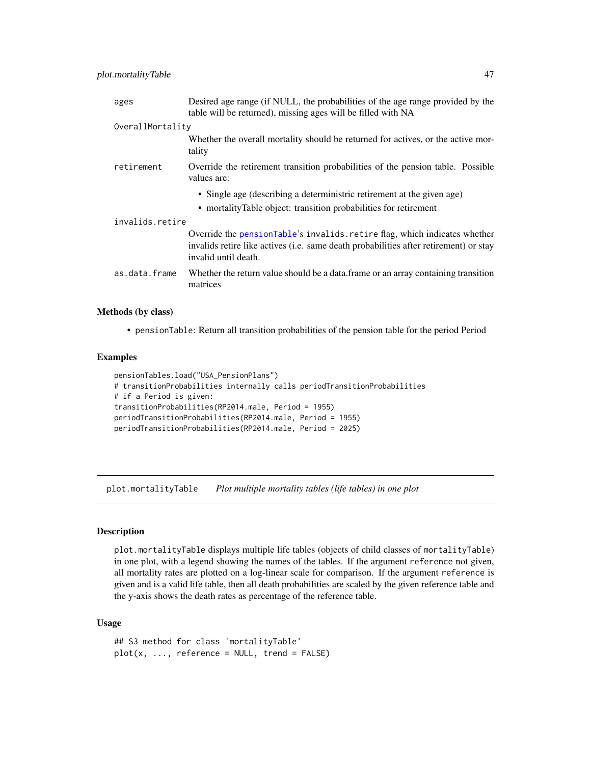<span id="page-46-0"></span>

| ages             | Desired age range (if NULL, the probabilities of the age range provided by the<br>table will be returned), missing ages will be filled with NA                                              |
|------------------|---------------------------------------------------------------------------------------------------------------------------------------------------------------------------------------------|
| OverallMortality |                                                                                                                                                                                             |
|                  | Whether the overall mortality should be returned for actives, or the active mor-<br>tality                                                                                                  |
| retirement       | Override the retirement transition probabilities of the pension table. Possible<br>values are:                                                                                              |
|                  | • Single age (describing a deterministric retirement at the given age)                                                                                                                      |
|                  | • mortalityTable object: transition probabilities for retirement                                                                                                                            |
| invalids.retire  |                                                                                                                                                                                             |
|                  | Override the pensionTable's invalids. retire flag, which indicates whether<br>invalids retire like actives (i.e. same death probabilities after retirement) or stay<br>invalid until death. |
| as.data.frame    | Whether the return value should be a data frame or an array containing transition<br>matrices                                                                                               |

#### Methods (by class)

• pensionTable: Return all transition probabilities of the pension table for the period Period

# Examples

```
pensionTables.load("USA_PensionPlans")
# transitionProbabilities internally calls periodTransitionProbabilities
# if a Period is given:
transitionProbabilities(RP2014.male, Period = 1955)
periodTransitionProbabilities(RP2014.male, Period = 1955)
periodTransitionProbabilities(RP2014.male, Period = 2025)
```
plot.mortalityTable *Plot multiple mortality tables (life tables) in one plot*

# Description

plot.mortalityTable displays multiple life tables (objects of child classes of mortalityTable) in one plot, with a legend showing the names of the tables. If the argument reference not given, all mortality rates are plotted on a log-linear scale for comparison. If the argument reference is given and is a valid life table, then all death probabilities are scaled by the given reference table and the y-axis shows the death rates as percentage of the reference table.

#### Usage

```
## S3 method for class 'mortalityTable'
plot(x, ..., reference = NULL, trend = FALSE)
```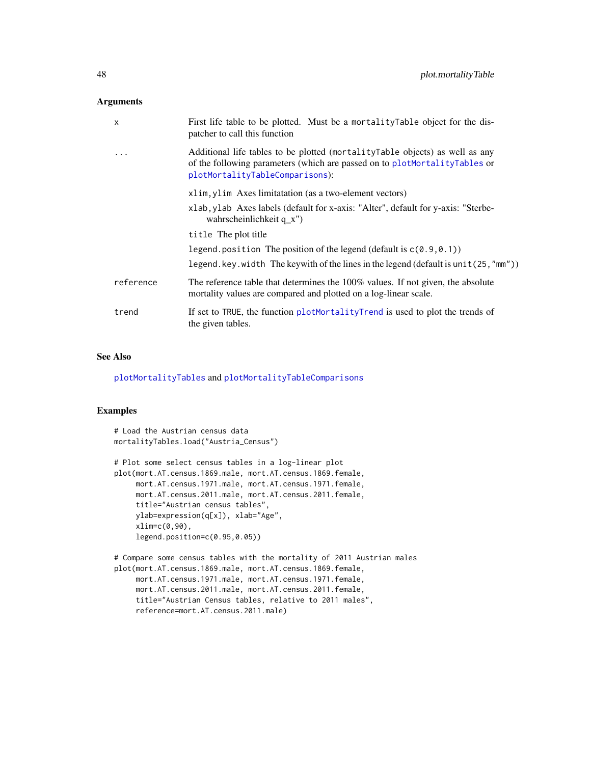#### <span id="page-47-0"></span>Arguments

| X         | First life table to be plotted. Must be a mortality Table object for the dis-<br>patcher to call this function                                                                                 |
|-----------|------------------------------------------------------------------------------------------------------------------------------------------------------------------------------------------------|
| $\ddots$  | Additional life tables to be plotted (mortality Table objects) as well as any<br>of the following parameters (which are passed on to plotMortalityTables or<br>plotMortalityTableComparisons): |
|           | xlim, ylim Axes limitatation (as a two-element vectors)                                                                                                                                        |
|           | xlab, ylab Axes labels (default for x-axis: "Alter", default for y-axis: "Sterbe-<br>wahrscheinlichkeit $q_x$ ")                                                                               |
|           | title The plot title                                                                                                                                                                           |
|           | legend position The position of the legend (default is $c(0.9, 0.1)$ )                                                                                                                         |
|           | legend.key.width The key with of the lines in the legend (default is unit $(25, "mm")$ )                                                                                                       |
| reference | The reference table that determines the 100% values. If not given, the absolute<br>mortality values are compared and plotted on a log-linear scale.                                            |
| trend     | If set to TRUE, the function plotMortalityTrend is used to plot the trends of<br>the given tables.                                                                                             |

# See Also

[plotMortalityTables](#page-49-1) and [plotMortalityTableComparisons](#page-48-1)

```
# Load the Austrian census data
mortalityTables.load("Austria_Census")
# Plot some select census tables in a log-linear plot
plot(mort.AT.census.1869.male, mort.AT.census.1869.female,
     mort.AT.census.1971.male, mort.AT.census.1971.female,
     mort.AT.census.2011.male, mort.AT.census.2011.female,
     title="Austrian census tables",
     ylab=expression(q[x]), xlab="Age",
     xlim=c(0,90),
     legend.position=c(0.95,0.05))
# Compare some census tables with the mortality of 2011 Austrian males
plot(mort.AT.census.1869.male, mort.AT.census.1869.female,
    mort.AT.census.1971.male, mort.AT.census.1971.female,
    mort.AT.census.2011.male, mort.AT.census.2011.female,
     title="Austrian Census tables, relative to 2011 males",
     reference=mort.AT.census.2011.male)
```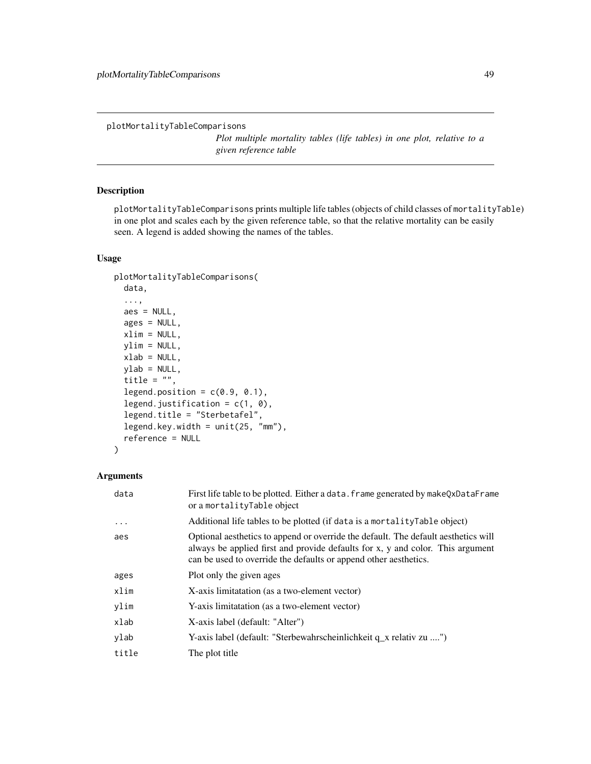<span id="page-48-1"></span><span id="page-48-0"></span>plotMortalityTableComparisons

*Plot multiple mortality tables (life tables) in one plot, relative to a given reference table*

# Description

plotMortalityTableComparisons prints multiple life tables (objects of child classes of mortalityTable) in one plot and scales each by the given reference table, so that the relative mortality can be easily seen. A legend is added showing the names of the tables.

# Usage

```
plotMortalityTableComparisons(
  data,
  ...,
  aes = NULL,ages = NULL,
 xlim = NULL,
  ylim = NULL,
  xlab = NULL,
 ylab = NULL,
  title = ",
  legend.position = c(0.9, 0.1),
  legend.justification = c(1, 0),
  legend.title = "Sterbetafel",
  legend.key.width = unit(25, "mm"),
  reference = NULL
)
```

| First life table to be plotted. Either a data. frame generated by make QxDataFrame<br>or a mortalityTable object                                                                                                                         |
|------------------------------------------------------------------------------------------------------------------------------------------------------------------------------------------------------------------------------------------|
| Additional life tables to be plotted (if data is a mortality Table object)                                                                                                                                                               |
| Optional aesthetics to append or override the default. The default aesthetics will<br>always be applied first and provide defaults for x, y and color. This argument<br>can be used to override the defaults or append other aesthetics. |
| Plot only the given ages                                                                                                                                                                                                                 |
| X-axis limitatation (as a two-element vector)                                                                                                                                                                                            |
| Y-axis limitatation (as a two-element vector)                                                                                                                                                                                            |
| X-axis label (default: "Alter")                                                                                                                                                                                                          |
| Y-axis label (default: "Sterbewahrscheinlichkeit q_x relativ zu ")                                                                                                                                                                       |
| The plot title                                                                                                                                                                                                                           |
|                                                                                                                                                                                                                                          |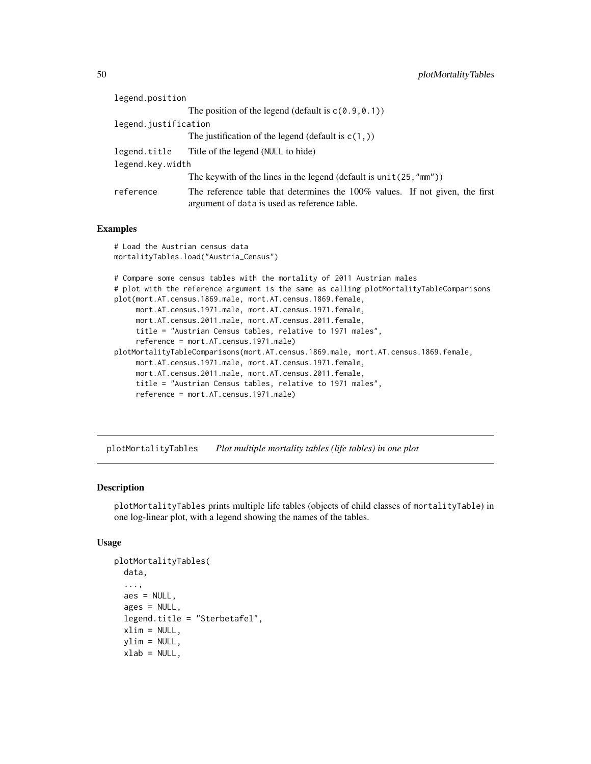<span id="page-49-0"></span>

| legend.position                                                                                                              |
|------------------------------------------------------------------------------------------------------------------------------|
| The position of the legend (default is $c(0.9, 0.1)$ )                                                                       |
| legend.justification                                                                                                         |
| The justification of the legend (default is $c(1, 1)$ )                                                                      |
| Title of the legend (NULL to hide)                                                                                           |
| legend.key.width                                                                                                             |
| The keywith of the lines in the legend (default is $unit(25, "mm")$ )                                                        |
| The reference table that determines the 100% values. If not given, the first<br>argument of data is used as reference table. |
|                                                                                                                              |

# Examples

```
# Load the Austrian census data
mortalityTables.load("Austria_Census")
# Compare some census tables with the mortality of 2011 Austrian males
# plot with the reference argument is the same as calling plotMortalityTableComparisons
plot(mort.AT.census.1869.male, mort.AT.census.1869.female,
     mort.AT.census.1971.male, mort.AT.census.1971.female,
     mort.AT.census.2011.male, mort.AT.census.2011.female,
     title = "Austrian Census tables, relative to 1971 males",
     reference = mort.AT.census.1971.male)
plotMortalityTableComparisons(mort.AT.census.1869.male, mort.AT.census.1869.female,
    mort.AT.census.1971.male, mort.AT.census.1971.female,
    mort.AT.census.2011.male, mort.AT.census.2011.female,
     title = "Austrian Census tables, relative to 1971 males",
     reference = mort.AT.census.1971.male)
```
<span id="page-49-1"></span>plotMortalityTables *Plot multiple mortality tables (life tables) in one plot*

#### Description

plotMortalityTables prints multiple life tables (objects of child classes of mortalityTable) in one log-linear plot, with a legend showing the names of the tables.

# Usage

```
plotMortalityTables(
  data,
  ...,
  aes = NULL,ages = NULL,
  legend.title = "Sterbetafel",
  xlim = NULL,ylim = NULL,
  xlab = NULL,
```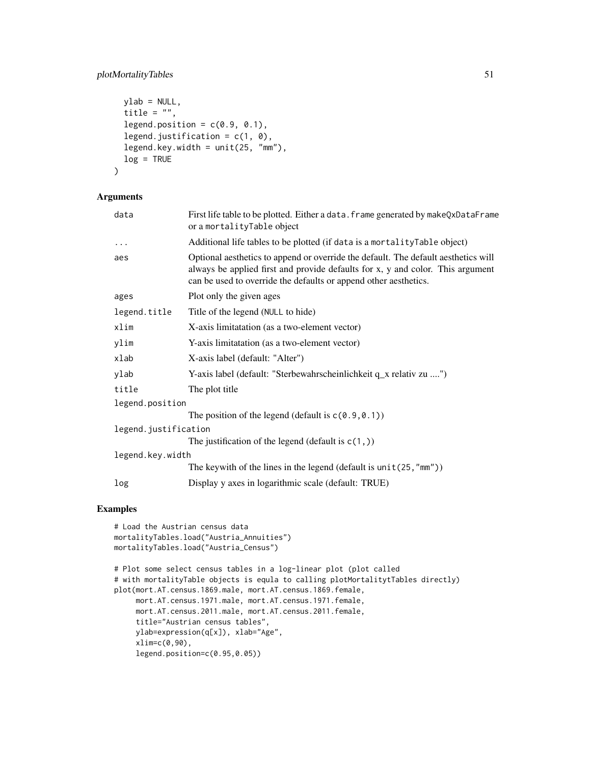# plotMortalityTables 51

```
ylab = NULL,
 title = ",
  legend.position = c(0.9, 0.1),
  legend.justification = c(1, 0),
 legend.key.width = unit(25, "mm"),
 log = TRUE\mathcal{L}
```
# Arguments

| First life table to be plotted. Either a data. frame generated by makeQxDataFrame<br>or a mortalityTable object                                                                                                                          |
|------------------------------------------------------------------------------------------------------------------------------------------------------------------------------------------------------------------------------------------|
| Additional life tables to be plotted (if data is a mortality Table object)                                                                                                                                                               |
| Optional aesthetics to append or override the default. The default aesthetics will<br>always be applied first and provide defaults for x, y and color. This argument<br>can be used to override the defaults or append other aesthetics. |
| Plot only the given ages                                                                                                                                                                                                                 |
| Title of the legend (NULL to hide)                                                                                                                                                                                                       |
| X-axis limitatation (as a two-element vector)                                                                                                                                                                                            |
| Y-axis limitatation (as a two-element vector)                                                                                                                                                                                            |
| X-axis label (default: "Alter")                                                                                                                                                                                                          |
| Y-axis label (default: "Sterbewahrscheinlichkeit q_x relativ zu ")                                                                                                                                                                       |
| The plot title                                                                                                                                                                                                                           |
| legend.position                                                                                                                                                                                                                          |
| The position of the legend (default is $c(0.9, 0.1)$ )                                                                                                                                                                                   |
| legend.justification                                                                                                                                                                                                                     |
| The justification of the legend (default is $c(1, 1)$ )                                                                                                                                                                                  |
| legend.key.width                                                                                                                                                                                                                         |
| The keywith of the lines in the legend (default is $unit(25, "mm")$ )                                                                                                                                                                    |
| Display y axes in logarithmic scale (default: TRUE)                                                                                                                                                                                      |
|                                                                                                                                                                                                                                          |

```
# Load the Austrian census data
mortalityTables.load("Austria_Annuities")
mortalityTables.load("Austria_Census")
# Plot some select census tables in a log-linear plot (plot called
# with mortalityTable objects is equla to calling plotMortalitytTables directly)
plot(mort.AT.census.1869.male, mort.AT.census.1869.female,
    mort.AT.census.1971.male, mort.AT.census.1971.female,
     mort.AT.census.2011.male, mort.AT.census.2011.female,
     title="Austrian census tables",
     ylab=expression(q[x]), xlab="Age",
     xlim=c(0,90),
     legend.position=c(0.95,0.05))
```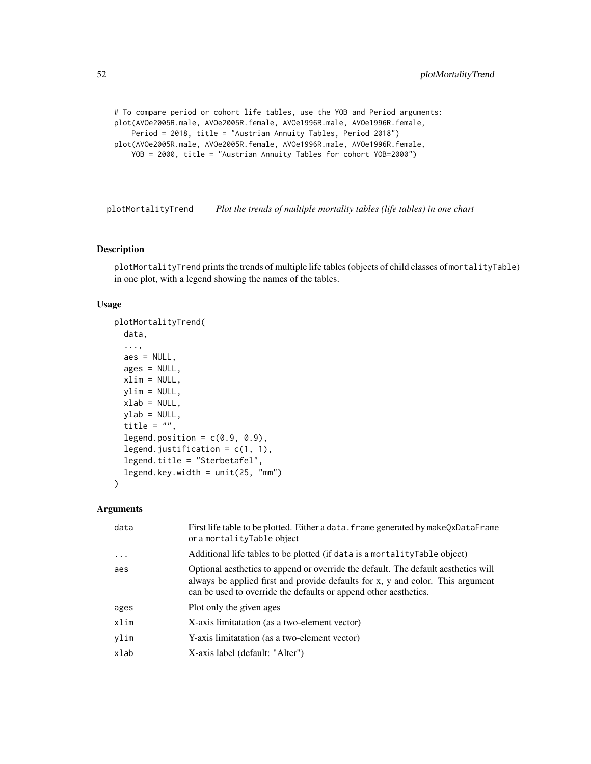```
# To compare period or cohort life tables, use the YOB and Period arguments:
plot(AVOe2005R.male, AVOe2005R.female, AVOe1996R.male, AVOe1996R.female,
   Period = 2018, title = "Austrian Annuity Tables, Period 2018")
plot(AVOe2005R.male, AVOe2005R.female, AVOe1996R.male, AVOe1996R.female,
   YOB = 2000, title = "Austrian Annuity Tables for cohort YOB=2000")
```
<span id="page-51-1"></span>plotMortalityTrend *Plot the trends of multiple mortality tables (life tables) in one chart*

# Description

plotMortalityTrend prints the trends of multiple life tables (objects of child classes of mortalityTable) in one plot, with a legend showing the names of the tables.

# Usage

```
plotMortalityTrend(
 data,
  ...,
 aes = NULL,
  ages = NULL,
 xlim = NULL,ylim = NULL,
 xlab = NULL,
 ylab = NULL,
  title = ",
  legend.position = c(0.9, 0.9),
  legend.justification = c(1, 1),
  legend.title = "Sterbetafel",
  legend.key.width = unit(25, "mm")
)
```

| data     | First life table to be plotted. Either a data. frame generated by makeQxDataFrame<br>or a mortalityTable object                                                                                                                          |
|----------|------------------------------------------------------------------------------------------------------------------------------------------------------------------------------------------------------------------------------------------|
| $\ddots$ | Additional life tables to be plotted (if data is a mortality Table object)                                                                                                                                                               |
| aes      | Optional aesthetics to append or override the default. The default aesthetics will<br>always be applied first and provide defaults for x, y and color. This argument<br>can be used to override the defaults or append other aesthetics. |
| ages     | Plot only the given ages                                                                                                                                                                                                                 |
| xlim     | X-axis limitatation (as a two-element vector)                                                                                                                                                                                            |
| ylim     | Y-axis limitatation (as a two-element vector)                                                                                                                                                                                            |
| xlab     | X-axis label (default: "Alter")                                                                                                                                                                                                          |
|          |                                                                                                                                                                                                                                          |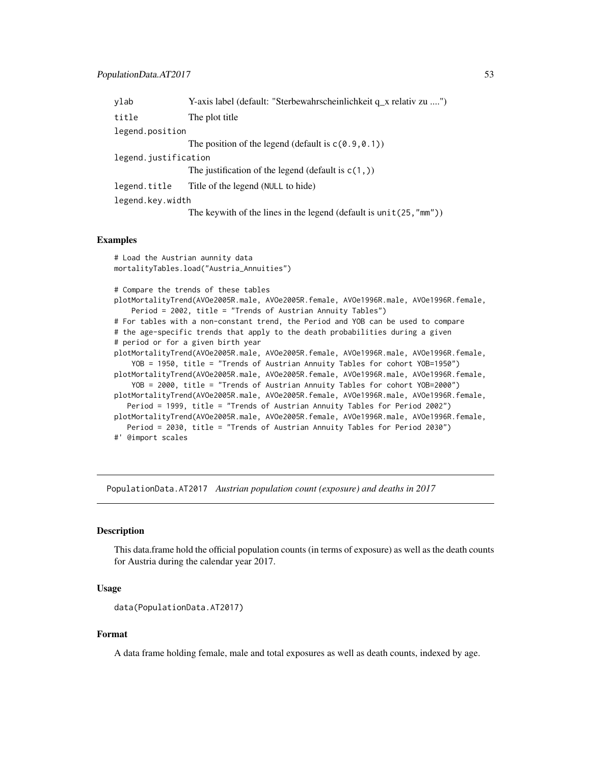<span id="page-52-0"></span>

| ylab                 | Y-axis label (default: "Sterbewahrscheinlichkeit q_x relativ zu ")    |  |
|----------------------|-----------------------------------------------------------------------|--|
| title                | The plot title                                                        |  |
| legend.position      |                                                                       |  |
|                      | The position of the legend (default is $c(0.9, 0.1)$ )                |  |
| legend.justification |                                                                       |  |
|                      | The justification of the legend (default is $c(1, 1)$ )               |  |
| legend.title         | Title of the legend (NULL to hide)                                    |  |
| legend.key.width     |                                                                       |  |
|                      | The keywith of the lines in the legend (default is $unit(25, "mm")$ ) |  |

#### Examples

```
# Load the Austrian aunnity data
mortalityTables.load("Austria_Annuities")
# Compare the trends of these tables
plotMortalityTrend(AVOe2005R.male, AVOe2005R.female, AVOe1996R.male, AVOe1996R.female,
    Period = 2002, title = "Trends of Austrian Annuity Tables")
# For tables with a non-constant trend, the Period and YOB can be used to compare
# the age-specific trends that apply to the death probabilities during a given
# period or for a given birth year
plotMortalityTrend(AVOe2005R.male, AVOe2005R.female, AVOe1996R.male, AVOe1996R.female,
    YOB = 1950, title = "Trends of Austrian Annuity Tables for cohort YOB=1950")
plotMortalityTrend(AVOe2005R.male, AVOe2005R.female, AVOe1996R.male, AVOe1996R.female,
   YOB = 2000, title = "Trends of Austrian Annuity Tables for cohort YOB=2000")
plotMortalityTrend(AVOe2005R.male, AVOe2005R.female, AVOe1996R.male, AVOe1996R.female,
  Period = 1999, title = "Trends of Austrian Annuity Tables for Period 2002")
plotMortalityTrend(AVOe2005R.male, AVOe2005R.female, AVOe1996R.male, AVOe1996R.female,
  Period = 2030, title = "Trends of Austrian Annuity Tables for Period 2030")
#' @import scales
```
PopulationData.AT2017 *Austrian population count (exposure) and deaths in 2017*

# Description

This data.frame hold the official population counts (in terms of exposure) as well as the death counts for Austria during the calendar year 2017.

# Usage

```
data(PopulationData.AT2017)
```
#### Format

A data frame holding female, male and total exposures as well as death counts, indexed by age.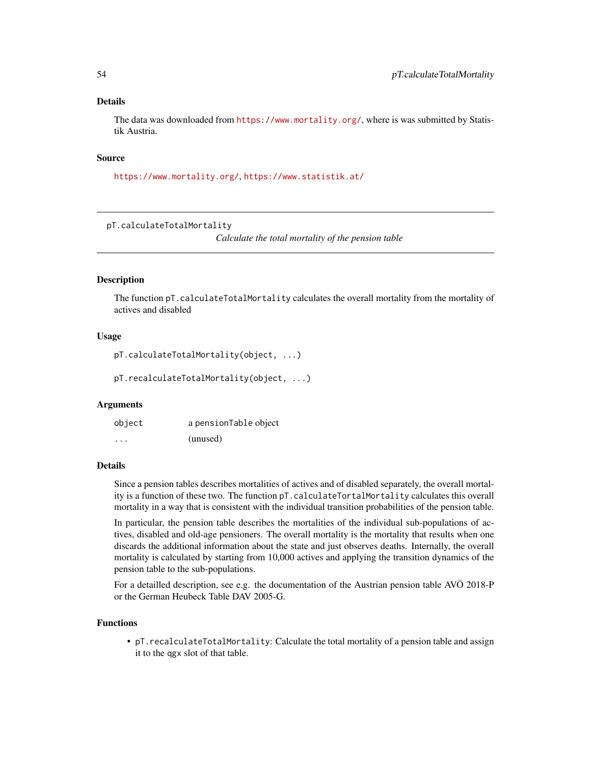#### <span id="page-53-0"></span>Details

The data was downloaded from <https://www.mortality.org/>, where is was submitted by Statistik Austria.

# Source

<https://www.mortality.org/>, <https://www.statistik.at/>

pT.calculateTotalMortality

*Calculate the total mortality of the pension table*

# Description

The function pT.calculateTotalMortality calculates the overall mortality from the mortality of actives and disabled

# Usage

```
pT.calculateTotalMortality(object, ...)
```
pT.recalculateTotalMortality(object, ...)

#### Arguments

| object  | a pensionTable object |
|---------|-----------------------|
| $\cdot$ | (unused)              |

#### Details

Since a pension tables describes mortalities of actives and of disabled separately, the overall mortality is a function of these two. The function pT.calculateTortalMortality calculates this overall mortality in a way that is consistent with the individual transition probabilities of the pension table.

In particular, the pension table describes the mortalities of the individual sub-populations of actives, disabled and old-age pensioners. The overall mortality is the mortality that results when one discards the additional information about the state and just observes deaths. Internally, the overall mortality is calculated by starting from 10,000 actives and applying the transition dynamics of the pension table to the sub-populations.

For a detailled description, see e.g. the documentation of the Austrian pension table AVÖ 2018-P or the German Heubeck Table DAV 2005-G.

#### Functions

• pT.recalculateTotalMortality: Calculate the total mortality of a pension table and assign it to the qgx slot of that table.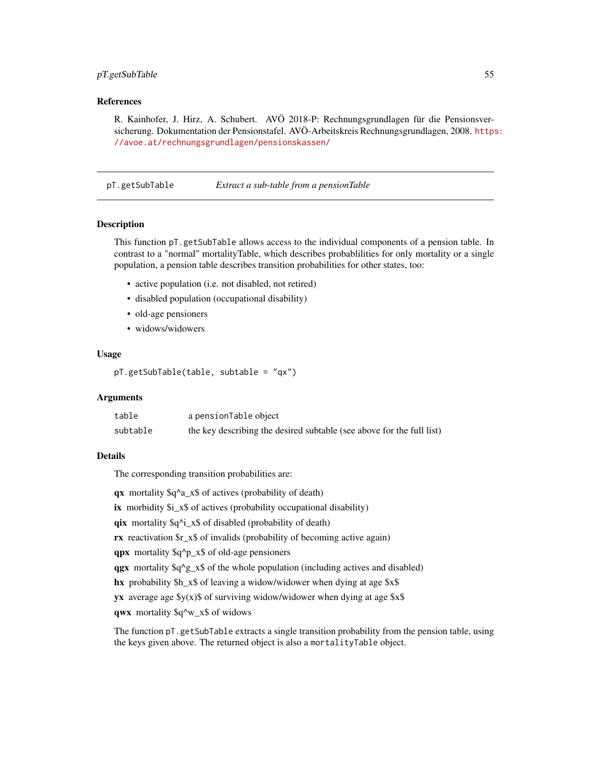# <span id="page-54-0"></span>pT.getSubTable 55

# References

R. Kainhofer, J. Hirz, A. Schubert. AVÖ 2018-P: Rechnungsgrundlagen für die Pensionsversicherung. Dokumentation der Pensionstafel. AVÖ-Arbeitskreis Rechnungsgrundlagen, 2008. [https](https://avoe.at/rechnungsgrundlagen/pensionskassen/): [//avoe.at/rechnungsgrundlagen/pensionskassen/](https://avoe.at/rechnungsgrundlagen/pensionskassen/)

pT.getSubTable *Extract a sub-table from a pensionTable*

#### **Description**

This function pT.getSubTable allows access to the individual components of a pension table. In contrast to a "normal" mortalityTable, which describes probablilities for only mortality or a single population, a pension table describes transition probabilities for other states, too:

- active population (i.e. not disabled, not retired)
- disabled population (occupational disability)
- old-age pensioners
- widows/widowers

# Usage

```
pT.getSubTable(table, subtable = "qx")
```
# Arguments

| table    | a pensionTable object                                                 |
|----------|-----------------------------------------------------------------------|
| subtable | the key describing the desired subtable (see above for the full list) |

#### Details

The corresponding transition probabilities are:

qx mortality \$q^a\_x\$ of actives (probability of death)

ix morbidity  $\sin x \sin x$  of actives (probability occupational disability)

qix mortality  $q^i$ <sub>1</sub> x $\$  of disabled (probability of death)

rx reactivation \$r\_x\$ of invalids (probability of becoming active again)

qpx mortality \$q^p\_x\$ of old-age pensioners

qgx mortality  $q^2 \gtrsim$   $\frac{x}{s}$  of the whole population (including actives and disabled)

hx probability \$h\_x\$ of leaving a widow/widower when dying at age \$x\$

yx average age  $y(x)$  of surviving widow/widower when dying at age  $x\$ 

qwx mortality \$q^w\_x\$ of widows

The function pT.getSubTable extracts a single transition probability from the pension table, using the keys given above. The returned object is also a mortalityTable object.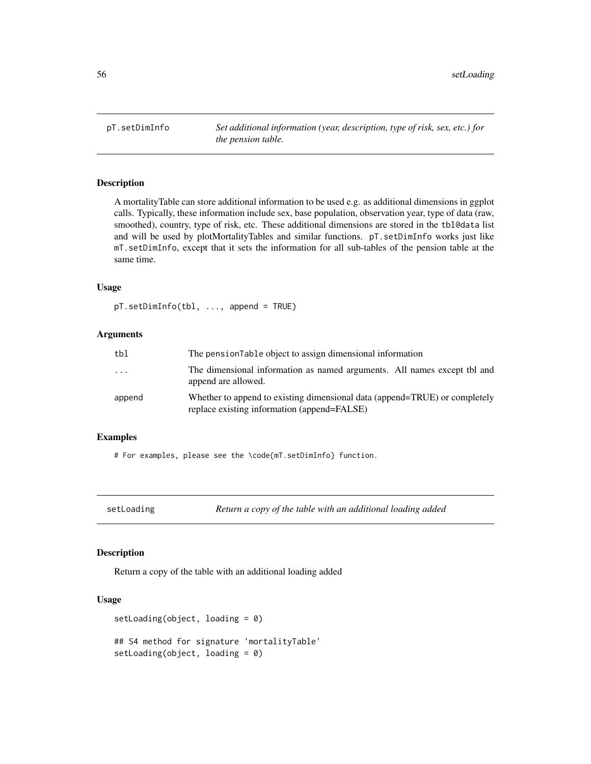<span id="page-55-0"></span>pT.setDimInfo *Set additional information (year, description, type of risk, sex, etc.) for the pension table.*

# Description

A mortalityTable can store additional information to be used e.g. as additional dimensions in ggplot calls. Typically, these information include sex, base population, observation year, type of data (raw, smoothed), country, type of risk, etc. These additional dimensions are stored in the tbl@data list and will be used by plotMortalityTables and similar functions. pT.setDimInfo works just like mT.setDimInfo, except that it sets the information for all sub-tables of the pension table at the same time.

#### Usage

pT.setDimInfo(tbl, ..., append = TRUE)

# Arguments

| tbl    | The pension Table object to assign dimensional information                                                                |
|--------|---------------------------------------------------------------------------------------------------------------------------|
| .      | The dimensional information as named arguments. All names except tbl and<br>append are allowed.                           |
| append | Whether to append to existing dimensional data (append=TRUE) or completely<br>replace existing information (append=FALSE) |

# Examples

# For examples, please see the \code{mT.setDimInfo} function.

```
setLoading Return a copy of the table with an additional loading added
```
#### Description

Return a copy of the table with an additional loading added

# Usage

```
setLoading(object, loading = 0)
## S4 method for signature 'mortalityTable'
setLoading(object, loading = 0)
```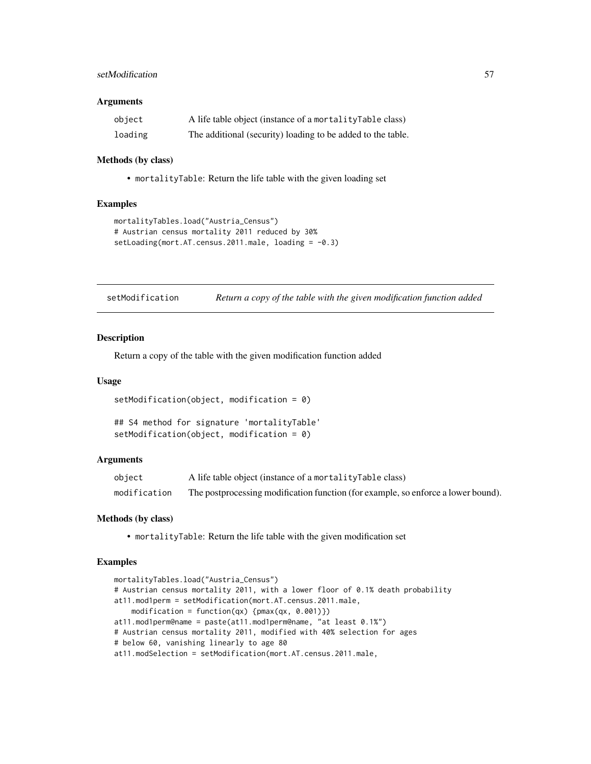# <span id="page-56-0"></span>setModification 57

#### **Arguments**

| object  | A life table object (instance of a mortality Table class)   |
|---------|-------------------------------------------------------------|
| loading | The additional (security) loading to be added to the table. |

#### Methods (by class)

• mortalityTable: Return the life table with the given loading set

#### Examples

```
mortalityTables.load("Austria_Census")
# Austrian census mortality 2011 reduced by 30%
setLoading(mort.AT.census.2011.male, loading = -0.3)
```

| setModification |  |  | Return a copy of the table with the given modification function added |
|-----------------|--|--|-----------------------------------------------------------------------|
|                 |  |  |                                                                       |

#### Description

Return a copy of the table with the given modification function added

#### Usage

```
setModification(object, modification = 0)
```

```
## S4 method for signature 'mortalityTable'
setModification(object, modification = 0)
```
#### Arguments

| object       | A life table object (instance of a mortality Table class)                         |
|--------------|-----------------------------------------------------------------------------------|
| modification | The postprocessing modification function (for example, so enforce a lower bound). |

# Methods (by class)

• mortalityTable: Return the life table with the given modification set

```
mortalityTables.load("Austria_Census")
# Austrian census mortality 2011, with a lower floor of 0.1% death probability
at11.mod1perm = setModification(mort.AT.census.2011.male,
    modification = function(qx) {pmax(qx, 0.001)})
at11.mod1perm@name = paste(at11.mod1perm@name, "at least 0.1%")
# Austrian census mortality 2011, modified with 40% selection for ages
# below 60, vanishing linearly to age 80
at11.modSelection = setModification(mort.AT.census.2011.male,
```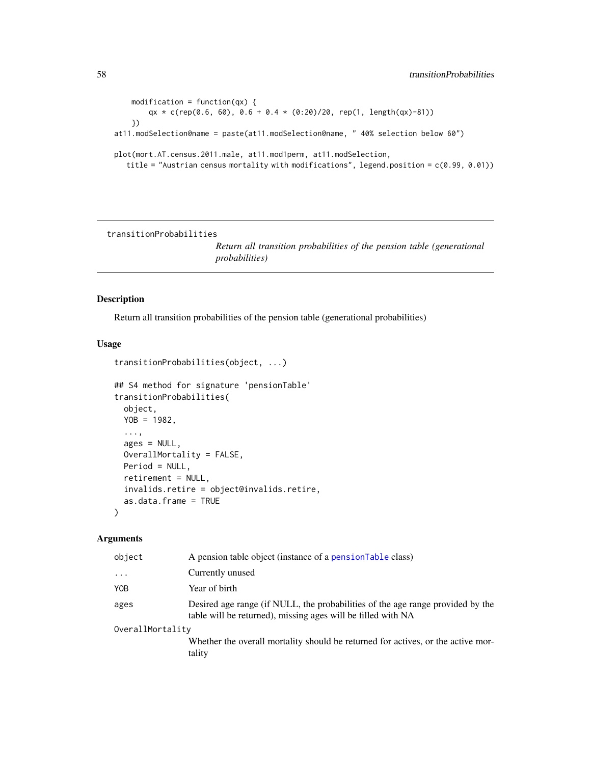```
modification = function(qx) {
       qx * c(rep(0.6, 60), 0.6 + 0.4 * (0.20)/20, rep(1, length(qx)-81))})
at11.modSelection@name = paste(at11.modSelection@name, " 40% selection below 60")
plot(mort.AT.census.2011.male, at11.mod1perm, at11.modSelection,
  title = "Austrian census mortality with modifications", legend.position = c(0.99, 0.01))
```
transitionProbabilities

*Return all transition probabilities of the pension table (generational probabilities)*

# Description

Return all transition probabilities of the pension table (generational probabilities)

# Usage

```
transitionProbabilities(object, ...)
```

```
## S4 method for signature 'pensionTable'
transitionProbabilities(
 object,
 YOB = 1982,
  ...,
 ages = NULL,
 OverallMortality = FALSE,
 Period = NULL,
 retirement = NULL,
 invalids.retire = object@invalids.retire,
 as.data.frame = TRUE
\lambda
```

| object           | A pension table object (instance of a pension Table class)                                                                                     |
|------------------|------------------------------------------------------------------------------------------------------------------------------------------------|
| $\cdots$         | Currently unused                                                                                                                               |
| YOB              | Year of birth                                                                                                                                  |
| ages             | Desired age range (if NULL, the probabilities of the age range provided by the<br>table will be returned), missing ages will be filled with NA |
| OverallMortality |                                                                                                                                                |
|                  | Whether the overall mortality should be returned for actives, or the active mor-<br>tality                                                     |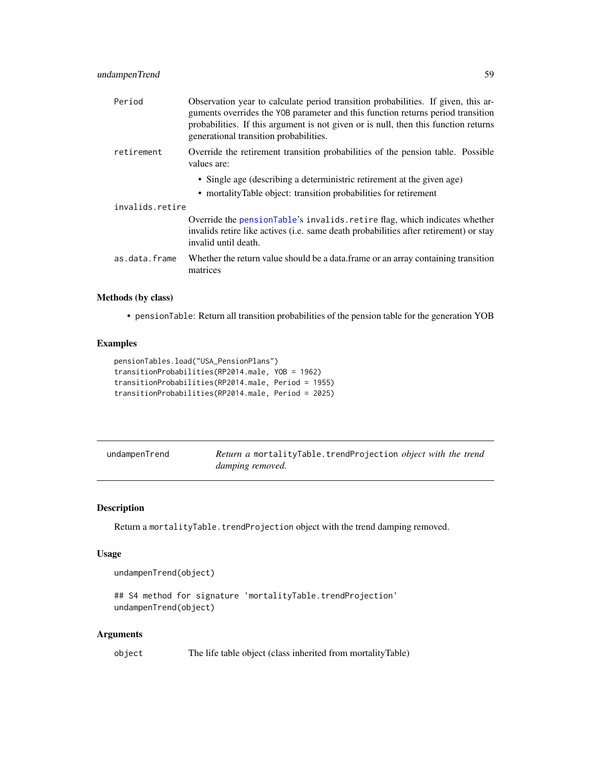<span id="page-58-0"></span>

| Period          | Observation year to calculate period transition probabilities. If given, this ar-<br>guments overrides the YOB parameter and this function returns period transition<br>probabilities. If this argument is not given or is null, then this function returns<br>generational transition probabilities. |  |  |
|-----------------|-------------------------------------------------------------------------------------------------------------------------------------------------------------------------------------------------------------------------------------------------------------------------------------------------------|--|--|
| retirement      | Override the retirement transition probabilities of the pension table. Possible<br>values are:                                                                                                                                                                                                        |  |  |
|                 | • Single age (describing a deterministric retirement at the given age)                                                                                                                                                                                                                                |  |  |
|                 | • mortalityTable object: transition probabilities for retirement                                                                                                                                                                                                                                      |  |  |
| invalids.retire |                                                                                                                                                                                                                                                                                                       |  |  |
|                 | Override the pensionTable's invalids. retire flag, which indicates whether<br>invalids retire like actives (i.e. same death probabilities after retirement) or stay<br>invalid until death.                                                                                                           |  |  |
| as.data.frame   | Whether the return value should be a data. frame or an array containing transition<br>matrices                                                                                                                                                                                                        |  |  |

# Methods (by class)

• pensionTable: Return all transition probabilities of the pension table for the generation YOB

# Examples

```
pensionTables.load("USA_PensionPlans")
transitionProbabilities(RP2014.male, YOB = 1962)
transitionProbabilities(RP2014.male, Period = 1955)
transitionProbabilities(RP2014.male, Period = 2025)
```

| undampenTrend | Return a mortalityTable.trendProjection object with the trend |
|---------------|---------------------------------------------------------------|
|               | damping removed.                                              |

# Description

Return a mortalityTable.trendProjection object with the trend damping removed.

# Usage

undampenTrend(object)

```
## S4 method for signature 'mortalityTable.trendProjection'
undampenTrend(object)
```

| object | The life table object (class inherited from mortalityTable) |  |  |
|--------|-------------------------------------------------------------|--|--|
|--------|-------------------------------------------------------------|--|--|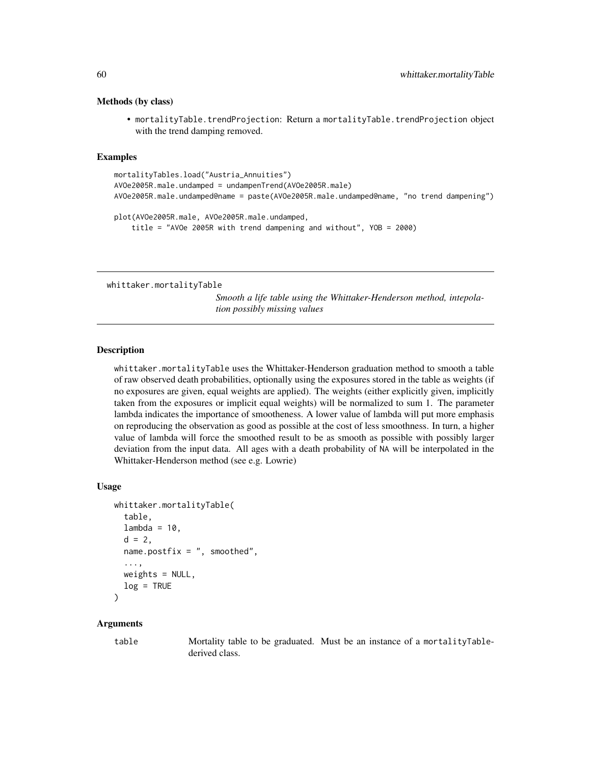#### Methods (by class)

• mortalityTable.trendProjection: Return a mortalityTable.trendProjection object with the trend damping removed.

# Examples

```
mortalityTables.load("Austria_Annuities")
AVOe2005R.male.undamped = undampenTrend(AVOe2005R.male)
AVOe2005R.male.undamped@name = paste(AVOe2005R.male.undamped@name, "no trend dampening")
plot(AVOe2005R.male, AVOe2005R.male.undamped,
    title = "AVOe 2005R with trend dampening and without", YOB = 2000)
```
whittaker.mortalityTable

*Smooth a life table using the Whittaker-Henderson method, intepolation possibly missing values*

# Description

whittaker.mortalityTable uses the Whittaker-Henderson graduation method to smooth a table of raw observed death probabilities, optionally using the exposures stored in the table as weights (if no exposures are given, equal weights are applied). The weights (either explicitly given, implicitly taken from the exposures or implicit equal weights) will be normalized to sum 1. The parameter lambda indicates the importance of smootheness. A lower value of lambda will put more emphasis on reproducing the observation as good as possible at the cost of less smoothness. In turn, a higher value of lambda will force the smoothed result to be as smooth as possible with possibly larger deviation from the input data. All ages with a death probability of NA will be interpolated in the Whittaker-Henderson method (see e.g. Lowrie)

#### Usage

```
whittaker.mortalityTable(
  table,
  lambda = 10,
  d = 2,
 name.postfix = ", smoothed",
  ...,
 weights = NULL,
  log = TRUE)
```
#### Arguments

table Mortality table to be graduated. Must be an instance of a mortalityTablederived class.

<span id="page-59-0"></span>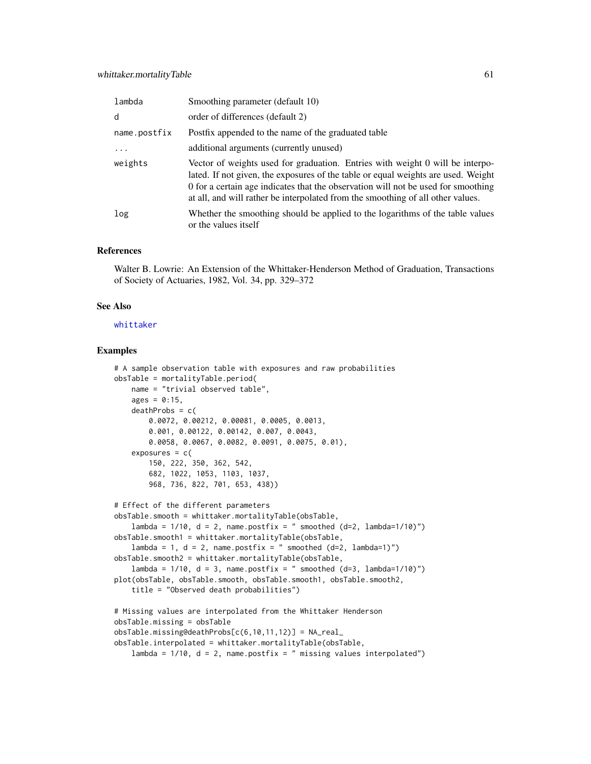<span id="page-60-0"></span>

| lambda       | Smoothing parameter (default 10)                                                                                                                                                                                                                                                                                                           |
|--------------|--------------------------------------------------------------------------------------------------------------------------------------------------------------------------------------------------------------------------------------------------------------------------------------------------------------------------------------------|
| d            | order of differences (default 2)                                                                                                                                                                                                                                                                                                           |
| name.postfix | Postfix appended to the name of the graduated table                                                                                                                                                                                                                                                                                        |
| $\ddots$     | additional arguments (currently unused)                                                                                                                                                                                                                                                                                                    |
| weights      | Vector of weights used for graduation. Entries with weight 0 will be interpo-<br>lated. If not given, the exposures of the table or equal weights are used. Weight<br>0 for a certain age indicates that the observation will not be used for smoothing<br>at all, and will rather be interpolated from the smoothing of all other values. |
| log          | Whether the smoothing should be applied to the logarithms of the table values<br>or the values itself                                                                                                                                                                                                                                      |

# References

Walter B. Lowrie: An Extension of the Whittaker-Henderson Method of Graduation, Transactions of Society of Actuaries, 1982, Vol. 34, pp. 329–372

#### See Also

[whittaker](#page-0-0)

```
# A sample observation table with exposures and raw probabilities
obsTable = mortalityTable.period(
   name = "trivial observed table",
   ages = 0:15,
   deathProbs = c(0.0072, 0.00212, 0.00081, 0.0005, 0.0013,
       0.001, 0.00122, 0.00142, 0.007, 0.0043,
       0.0058, 0.0067, 0.0082, 0.0091, 0.0075, 0.01),
    exposures = c(150, 222, 350, 362, 542,
       682, 1022, 1053, 1103, 1037,
       968, 736, 822, 701, 653, 438))
# Effect of the different parameters
obsTable.smooth = whittaker.mortalityTable(obsTable,
    lambda = 1/10, d = 2, name.postfix = " smoothed (d=2, 1)ambda=1/10)")
obsTable.smooth1 = whittaker.mortalityTable(obsTable,
   lambda = 1, d = 2, name.postfix = " smoothed (d=2, lambda=1)")
obsTable.smooth2 = whittaker.mortalityTable(obsTable,
   lambda = 1/10, d = 3, name.postfix = " smoothed (d=3, lambda=1/10)")
plot(obsTable, obsTable.smooth, obsTable.smooth1, obsTable.smooth2,
    title = "Observed death probabilities")
# Missing values are interpolated from the Whittaker Henderson
obsTable.missing = obsTable
obsTable.missing@deathProbs[c(6,10,11,12)] = NA_real_
obsTable.interpolated = whittaker.mortalityTable(obsTable,
    lambda = 1/10, d = 2, name.postfix = " missing values interpolated")
```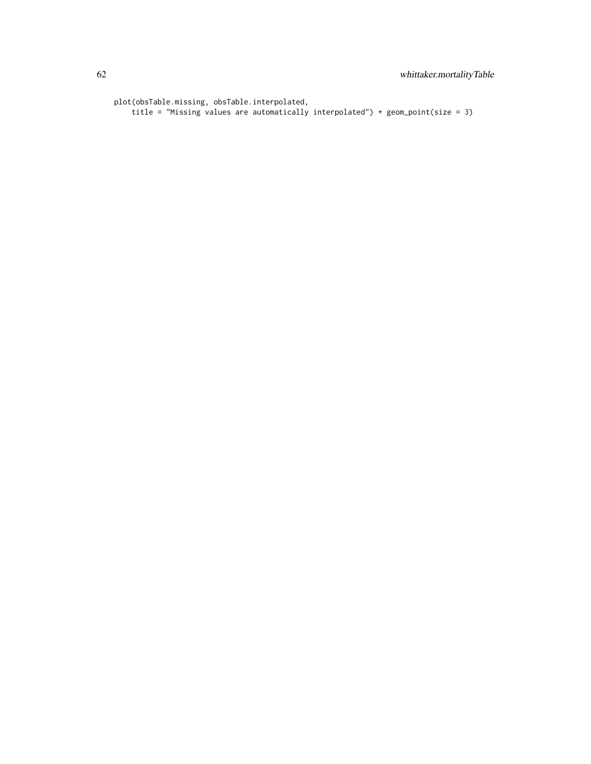```
plot(obsTable.missing, obsTable.interpolated,
   title = "Missing values are automatically interpolated") + geom_point(size = 3)
```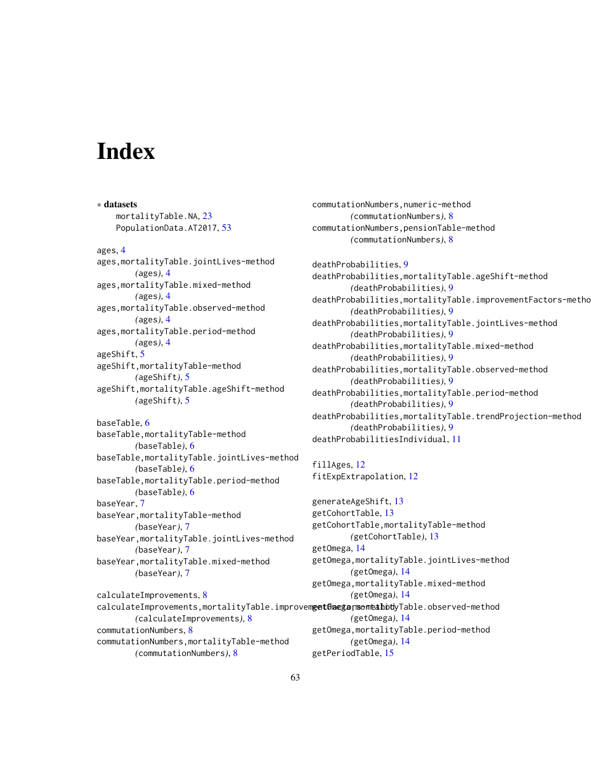# <span id="page-62-0"></span>**Index**

∗ datasets mortalityTable.NA, [23](#page-22-0) PopulationData.AT2017, [53](#page-52-0) ages, [4](#page-3-0) ages,mortalityTable.jointLives-method *(*ages*)*, [4](#page-3-0) ages,mortalityTable.mixed-method *(*ages*)*, [4](#page-3-0) ages,mortalityTable.observed-method *(*ages*)*, [4](#page-3-0) ages,mortalityTable.period-method *(*ages*)*, [4](#page-3-0) ageShift, [5](#page-4-0) ageShift,mortalityTable-method *(*ageShift*)*, [5](#page-4-0) ageShift,mortalityTable.ageShift-method *(*ageShift*)*, [5](#page-4-0) baseTable, [6](#page-5-0) baseTable,mortalityTable-method *(*baseTable*)*, [6](#page-5-0) baseTable,mortalityTable.jointLives-method *(*baseTable*)*, [6](#page-5-0) baseTable,mortalityTable.period-method *(*baseTable*)*, [6](#page-5-0) baseYear, [7](#page-6-0) baseYear,mortalityTable-method *(*baseYear*)*, [7](#page-6-0) baseYear,mortalityTable.jointLives-method *(*baseYear*)*, [7](#page-6-0) baseYear,mortalityTable.mixed-method *(*baseYear*)*, [7](#page-6-0) calculateImprovements, [8](#page-7-0) calculateImprovements,mortalityTable.improvem**get@nega;momeahody**Table.observed-method *(*calculateImprovements*)*, [8](#page-7-0) commutationNumbers, [8](#page-7-0)

commutationNumbers,mortalityTable-method *(*commutationNumbers*)*, [8](#page-7-0)

commutationNumbers,numeric-method *(*commutationNumbers*)*, [8](#page-7-0) commutationNumbers,pensionTable-method *(*commutationNumbers*)*, [8](#page-7-0)

deathProbabilities, [9](#page-8-0)

deathProbabilities,mortalityTable.ageShift-method *(*deathProbabilities*)*, [9](#page-8-0) deathProbabilities, mortalityTable.improvementFactors-metho *(*deathProbabilities*)*, [9](#page-8-0) deathProbabilities,mortalityTable.jointLives-method *(*deathProbabilities*)*, [9](#page-8-0) deathProbabilities,mortalityTable.mixed-method *(*deathProbabilities*)*, [9](#page-8-0) deathProbabilities,mortalityTable.observed-method *(*deathProbabilities*)*, [9](#page-8-0) deathProbabilities,mortalityTable.period-method *(*deathProbabilities*)*, [9](#page-8-0) deathProbabilities,mortalityTable.trendProjection-method *(*deathProbabilities*)*, [9](#page-8-0) deathProbabilitiesIndividual, [11](#page-10-0)

fillAges, [12](#page-11-0) fitExpExtrapolation, [12](#page-11-0)

generateAgeShift, [13](#page-12-0) getCohortTable, [13](#page-12-0) getCohortTable,mortalityTable-method *(*getCohortTable*)*, [13](#page-12-0) getOmega, [14](#page-13-0) getOmega,mortalityTable.jointLives-method *(*getOmega*)*, [14](#page-13-0) getOmega,mortalityTable.mixed-method *(*getOmega*)*, [14](#page-13-0) *(*getOmega*)*, [14](#page-13-0) getOmega,mortalityTable.period-method *(*getOmega*)*, [14](#page-13-0) getPeriodTable, [15](#page-14-0)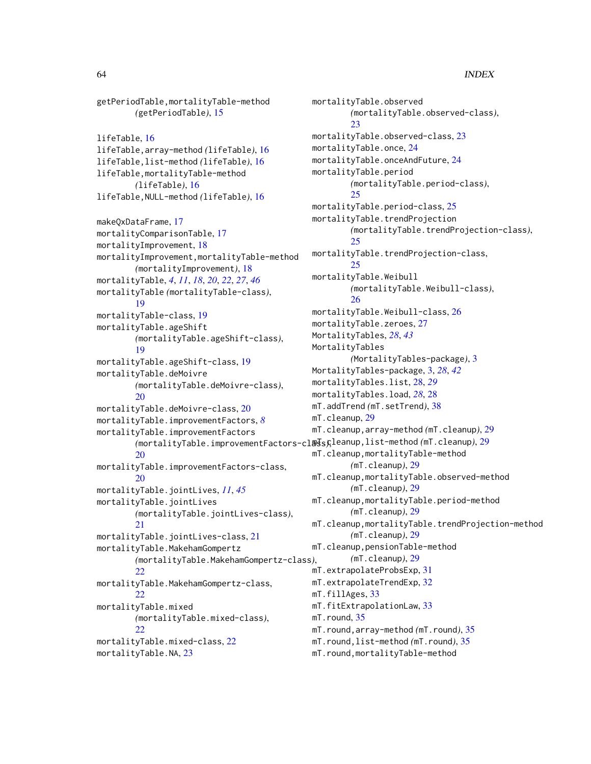```
getPeriodTable,mortalityTable-method
       (getPeriodTable), 15
lifeTable, 16
lifeTable,array-method (lifeTable), 16
lifeTable,list-method (lifeTable), 16
lifeTable,mortalityTable-method
       (lifeTable), 16
lifeTable,NULL-method (lifeTable), 16
makeQxDataFrame, 17
mortalityComparisonTable, 17
mortalityImprovement, 18
mortalityImprovement,mortalityTable-method
       (mortalityImprovement), 18
mortalityTable, 4, 11, 18, 20, 22, 27, 46
mortalityTable (mortalityTable-class),
        19
mortalityTable-class, 19
mortalityTable.ageShift
       (mortalityTable.ageShift-class),
        19
mortalityTable.ageShift-class, 19
mortalityTable.deMoivre
       (mortalityTable.deMoivre-class),
       20
mortalityTable.deMoivre-class, 20
mortalityTable.improvementFactors, 8
mortalityTable.improvementFactors
        29
       20
mortalityTable.improvementFactors-class,
        20
mortalityTable.jointLives, 11, 45
mortalityTable.jointLives
       (mortalityTable.jointLives-class),
       21
mortalityTable.jointLives-class, 21
mortalityTable.MakehamGompertz
       (mortalityTable.MakehamGompertz-class),
        22mortalityTable.MakehamGompertz-class,
       22mortalityTable.mixed
       (mortalityTable.mixed-class),
       22
mortalityTable.mixed-class, 22
mortalityTable.NA, 23
```

```
mortalityTable.observed
        (mortalityTable.observed-class),
        23
mortalityTable.observed-class, 23
mortalityTable.once, 24
mortalityTable.onceAndFuture, 24
mortalityTable.period
        (mortalityTable.period-class),
        25
mortalityTable.period-class, 25
mortalityTable.trendProjection
        (mortalityTable.trendProjection-class),
        25
mortalityTable.trendProjection-class,
        25
mortalityTable.Weibull
        (mortalityTable.Weibull-class),
        26
mortalityTable.Weibull-class, 26
mortalityTable.zeroes, 27
MortalityTables, 28, 43
MortalityTables
        (MortalityTables-package), 3
MortalityTables-package, 3, 28, 42
mortalityTables.list, 28, 29
mortalityTables.load, 28, 28
mT.addTrend (mT.setTrend), 38
mT.cleanup, 29
mT.cleanup,array-method (mT.cleanup), 29
mT.cleanup,mortalityTable-method
        (mT.cleanup), 29
mT.cleanup,mortalityTable.observed-method
        (mT.cleanup), 29
mT.cleanup,mortalityTable.period-method
        (mT.cleanup), 29
mT.cleanup,mortalityTable.trendProjection-method
        (mT.cleanup), 29
mT.cleanup,pensionTable-method
        (mT.cleanup), 29
mT.extrapolateProbsExp, 31
mT.extrapolateTrendExp, 32
mT.fillAges, 33
mT.fitExtrapolationLaw, 33
mT.round, 35
mT.round,array-method (mT.round), 35
mT.round,list-method (mT.round), 35
mT.round,mortalityTable-method
```